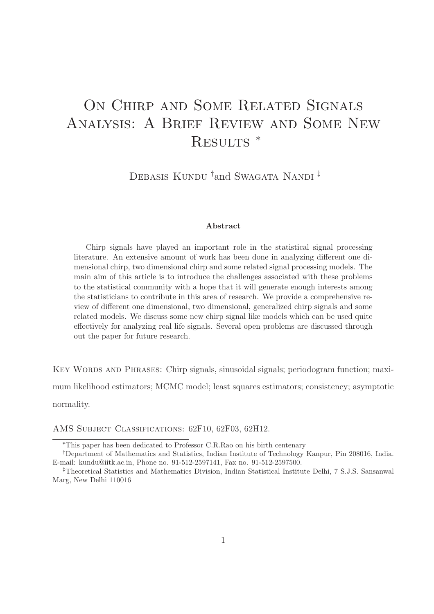# ON CHIRP AND SOME RELATED SIGNALS Analysis: A Brief Review and Some New RESULTS<sup>\*</sup>

DEBASIS KUNDU <sup>†</sup>and Swagata Nandi <sup>‡</sup>

#### Abstract

Chirp signals have played an important role in the statistical signal processing literature. An extensive amount of work has been done in analyzing different one dimensional chirp, two dimensional chirp and some related signal processing models. The main aim of this article is to introduce the challenges associated with these problems to the statistical community with a hope that it will generate enough interests among the statisticians to contribute in this area of research. We provide a comprehensive review of different one dimensional, two dimensional, generalized chirp signals and some related models. We discuss some new chirp signal like models which can be used quite effectively for analyzing real life signals. Several open problems are discussed through out the paper for future research.

KEY WORDS AND PHRASES: Chirp signals, sinusoidal signals; periodogram function; maximum likelihood estimators; MCMC model; least squares estimators; consistency; asymptotic normality.

AMS Subject Classifications: 62F10, 62F03, 62H12.

<sup>∗</sup>This paper has been dedicated to Professor C.R.Rao on his birth centenary

<sup>†</sup>Department of Mathematics and Statistics, Indian Institute of Technology Kanpur, Pin 208016, India. E-mail: kundu@iitk.ac.in, Phone no. 91-512-2597141, Fax no. 91-512-2597500.

<sup>‡</sup>Theoretical Statistics and Mathematics Division, Indian Statistical Institute Delhi, 7 S.J.S. Sansanwal Marg, New Delhi 110016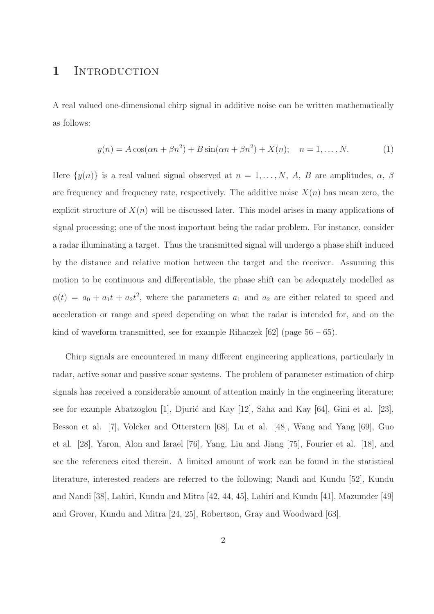# 1 INTRODUCTION

A real valued one-dimensional chirp signal in additive noise can be written mathematically as follows:

$$
y(n) = A\cos(\alpha n + \beta n^2) + B\sin(\alpha n + \beta n^2) + X(n); \quad n = 1, ..., N.
$$
 (1)

Here  $\{y(n)\}\$ is a real valued signal observed at  $n = 1, ..., N$ , A, B are amplitudes,  $\alpha$ ,  $\beta$ are frequency and frequency rate, respectively. The additive noise  $X(n)$  has mean zero, the explicit structure of  $X(n)$  will be discussed later. This model arises in many applications of signal processing; one of the most important being the radar problem. For instance, consider a radar illuminating a target. Thus the transmitted signal will undergo a phase shift induced by the distance and relative motion between the target and the receiver. Assuming this motion to be continuous and differentiable, the phase shift can be adequately modelled as  $\phi(t) = a_0 + a_1 t + a_2 t^2$ , where the parameters  $a_1$  and  $a_2$  are either related to speed and acceleration or range and speed depending on what the radar is intended for, and on the kind of waveform transmitted, see for example Rihaczek  $[62]$  (page  $56 - 65$ ).

Chirp signals are encountered in many different engineering applications, particularly in radar, active sonar and passive sonar systems. The problem of parameter estimation of chirp signals has received a considerable amount of attention mainly in the engineering literature; see for example Abatzoglou [1], Djurić and Kay [12], Saha and Kay  $[64]$ , Gini et al. [23], Besson et al. [7], Volcker and Otterstern [68], Lu et al. [48], Wang and Yang [69], Guo et al. [28], Yaron, Alon and Israel [76], Yang, Liu and Jiang [75], Fourier et al. [18], and see the references cited therein. A limited amount of work can be found in the statistical literature, interested readers are referred to the following; Nandi and Kundu [52], Kundu and Nandi [38], Lahiri, Kundu and Mitra [42, 44, 45], Lahiri and Kundu [41], Mazumder [49] and Grover, Kundu and Mitra [24, 25], Robertson, Gray and Woodward [63].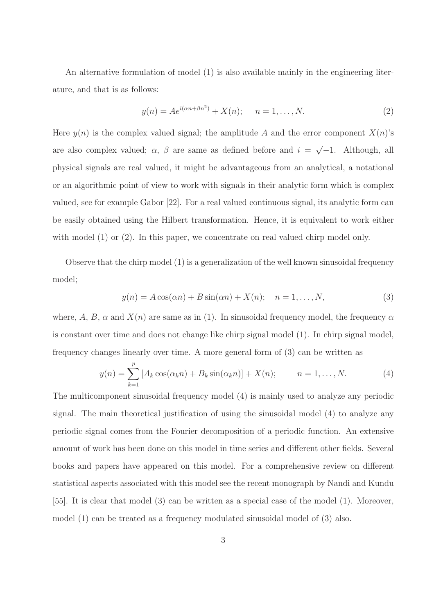An alternative formulation of model (1) is also available mainly in the engineering literature, and that is as follows:

$$
y(n) = Ae^{i(\alpha n + \beta n^2)} + X(n); \quad n = 1, ..., N.
$$
 (2)

Here  $y(n)$  is the complex valued signal; the amplitude A and the error component  $X(n)$ 's are also complex valued;  $\alpha$ ,  $\beta$  are same as defined before and  $i = \sqrt{-1}$ . Although, all physical signals are real valued, it might be advantageous from an analytical, a notational or an algorithmic point of view to work with signals in their analytic form which is complex valued, see for example Gabor [22]. For a real valued continuous signal, its analytic form can be easily obtained using the Hilbert transformation. Hence, it is equivalent to work either with model (1) or (2). In this paper, we concentrate on real valued chirp model only.

Observe that the chirp model (1) is a generalization of the well known sinusoidal frequency model;

$$
y(n) = A\cos(\alpha n) + B\sin(\alpha n) + X(n); \quad n = 1, \dots, N,
$$
\n(3)

where, A, B,  $\alpha$  and  $X(n)$  are same as in (1). In sinusoidal frequency model, the frequency  $\alpha$ is constant over time and does not change like chirp signal model (1). In chirp signal model, frequency changes linearly over time. A more general form of (3) can be written as

$$
y(n) = \sum_{k=1}^{p} [A_k \cos(\alpha_k n) + B_k \sin(\alpha_k n)] + X(n); \qquad n = 1, ..., N.
$$
 (4)

The multicomponent sinusoidal frequency model (4) is mainly used to analyze any periodic signal. The main theoretical justification of using the sinusoidal model (4) to analyze any periodic signal comes from the Fourier decomposition of a periodic function. An extensive amount of work has been done on this model in time series and different other fields. Several books and papers have appeared on this model. For a comprehensive review on different statistical aspects associated with this model see the recent monograph by Nandi and Kundu [55]. It is clear that model (3) can be written as a special case of the model (1). Moreover, model (1) can be treated as a frequency modulated sinusoidal model of (3) also.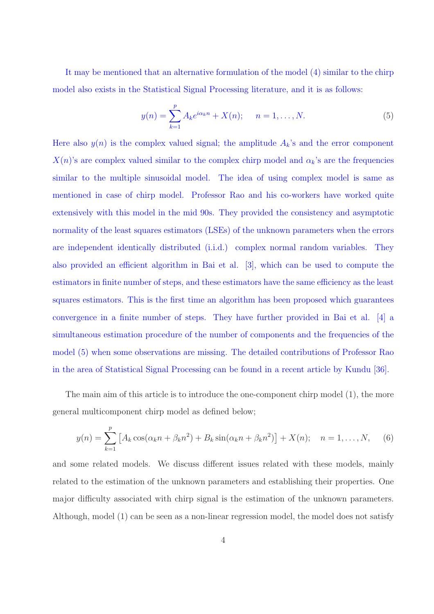It may be mentioned that an alternative formulation of the model (4) similar to the chirp model also exists in the Statistical Signal Processing literature, and it is as follows:

$$
y(n) = \sum_{k=1}^{p} A_k e^{i\alpha_k n} + X(n); \quad n = 1, ..., N.
$$
 (5)

Here also  $y(n)$  is the complex valued signal; the amplitude  $A_k$ 's and the error component  $X(n)$ 's are complex valued similar to the complex chirp model and  $\alpha_k$ 's are the frequencies similar to the multiple sinusoidal model. The idea of using complex model is same as mentioned in case of chirp model. Professor Rao and his co-workers have worked quite extensively with this model in the mid 90s. They provided the consistency and asymptotic normality of the least squares estimators (LSEs) of the unknown parameters when the errors are independent identically distributed (i.i.d.) complex normal random variables. They also provided an efficient algorithm in Bai et al. [3], which can be used to compute the estimators in finite number of steps, and these estimators have the same efficiency as the least squares estimators. This is the first time an algorithm has been proposed which guarantees convergence in a finite number of steps. They have further provided in Bai et al. [4] a simultaneous estimation procedure of the number of components and the frequencies of the model (5) when some observations are missing. The detailed contributions of Professor Rao in the area of Statistical Signal Processing can be found in a recent article by Kundu [36].

The main aim of this article is to introduce the one-component chirp model (1), the more general multicomponent chirp model as defined below;

$$
y(n) = \sum_{k=1}^{p} \left[ A_k \cos(\alpha_k n + \beta_k n^2) + B_k \sin(\alpha_k n + \beta_k n^2) \right] + X(n); \quad n = 1, ..., N,
$$
 (6)

and some related models. We discuss different issues related with these models, mainly related to the estimation of the unknown parameters and establishing their properties. One major difficulty associated with chirp signal is the estimation of the unknown parameters. Although, model (1) can be seen as a non-linear regression model, the model does not satisfy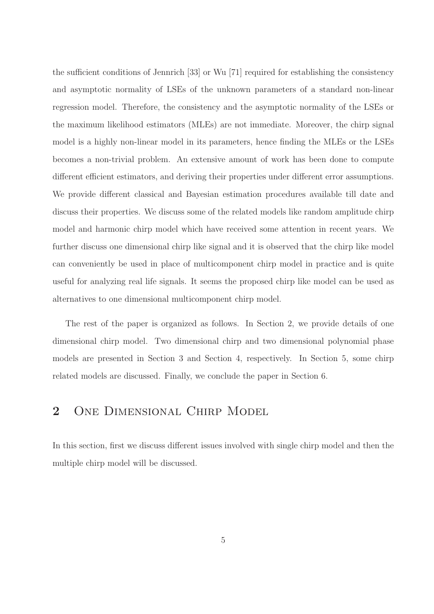the sufficient conditions of Jennrich [33] or Wu [71] required for establishing the consistency and asymptotic normality of LSEs of the unknown parameters of a standard non-linear regression model. Therefore, the consistency and the asymptotic normality of the LSEs or the maximum likelihood estimators (MLEs) are not immediate. Moreover, the chirp signal model is a highly non-linear model in its parameters, hence finding the MLEs or the LSEs becomes a non-trivial problem. An extensive amount of work has been done to compute different efficient estimators, and deriving their properties under different error assumptions. We provide different classical and Bayesian estimation procedures available till date and discuss their properties. We discuss some of the related models like random amplitude chirp model and harmonic chirp model which have received some attention in recent years. We further discuss one dimensional chirp like signal and it is observed that the chirp like model can conveniently be used in place of multicomponent chirp model in practice and is quite useful for analyzing real life signals. It seems the proposed chirp like model can be used as alternatives to one dimensional multicomponent chirp model.

The rest of the paper is organized as follows. In Section 2, we provide details of one dimensional chirp model. Two dimensional chirp and two dimensional polynomial phase models are presented in Section 3 and Section 4, respectively. In Section 5, some chirp related models are discussed. Finally, we conclude the paper in Section 6.

# 2 One Dimensional Chirp Model

In this section, first we discuss different issues involved with single chirp model and then the multiple chirp model will be discussed.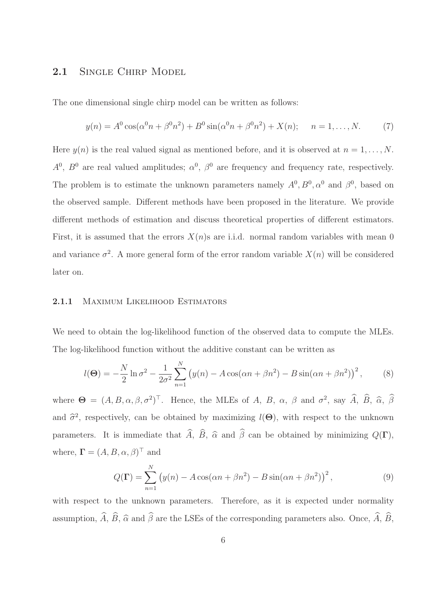# 2.1 SINGLE CHIRP MODEL

The one dimensional single chirp model can be written as follows:

$$
y(n) = A^{0} \cos(\alpha^{0} n + \beta^{0} n^{2}) + B^{0} \sin(\alpha^{0} n + \beta^{0} n^{2}) + X(n); \quad n = 1, ..., N.
$$
 (7)

Here  $y(n)$  is the real valued signal as mentioned before, and it is observed at  $n = 1, \ldots, N$ .  $A^0$ ,  $B^0$  are real valued amplitudes;  $\alpha^0$ ,  $\beta^0$  are frequency and frequency rate, respectively. The problem is to estimate the unknown parameters namely  $A^0$ ,  $B^0$ ,  $\alpha^0$  and  $\beta^0$ , based on the observed sample. Different methods have been proposed in the literature. We provide different methods of estimation and discuss theoretical properties of different estimators. First, it is assumed that the errors  $X(n)$ s are i.i.d. normal random variables with mean 0 and variance  $\sigma^2$ . A more general form of the error random variable  $X(n)$  will be considered later on.

#### 2.1.1 MAXIMUM LIKELIHOOD ESTIMATORS

We need to obtain the log-likelihood function of the observed data to compute the MLEs. The log-likelihood function without the additive constant can be written as

$$
l(\Theta) = -\frac{N}{2}\ln \sigma^2 - \frac{1}{2\sigma^2} \sum_{n=1}^{N} (y(n) - A\cos(\alpha n + \beta n^2) - B\sin(\alpha n + \beta n^2))^2, \qquad (8)
$$

where  $\Theta = (A, B, \alpha, \beta, \sigma^2)^\top$ . Hence, the MLEs of A, B,  $\alpha$ ,  $\beta$  and  $\sigma^2$ , say  $\widetilde{A}$ ,  $\widetilde{B}$ ,  $\widehat{\alpha}$ ,  $\beta$ and  $\hat{\sigma}^2$ , respectively, can be obtained by maximizing  $l(\Theta)$ , with respect to the unknown parameters. It is immediate that  $\widehat{A}$ ,  $\widehat{B}$ ,  $\widehat{\alpha}$  and  $\widehat{\beta}$  can be obtained by minimizing  $Q(\Gamma)$ , where,  $\mathbf{\Gamma} = (A, B, \alpha, \beta)^{\top}$  and

$$
Q(\Gamma) = \sum_{n=1}^{N} (y(n) - A\cos(\alpha n + \beta n^2) - B\sin(\alpha n + \beta n^2))^2,
$$
 (9)

with respect to the unknown parameters. Therefore, as it is expected under normality assumption,  $\widehat{A}$ ,  $\widehat{B}$ ,  $\widehat{\alpha}$  and  $\widehat{\beta}$  are the LSEs of the corresponding parameters also. Once,  $\widehat{A}$ ,  $\widehat{B}$ ,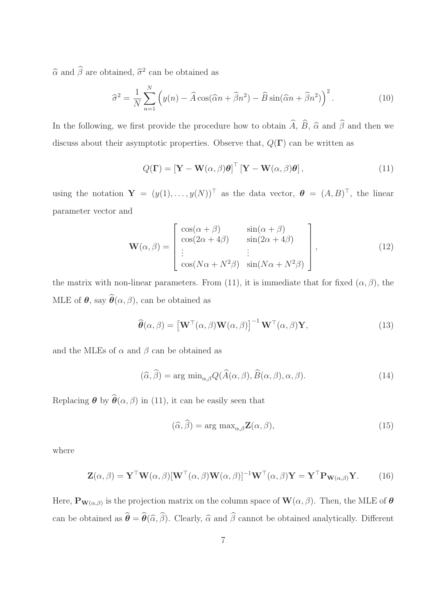$\widehat{\alpha}$  and  $\widehat{\beta}$  are obtained,  $\widehat{\sigma}^2$  can be obtained as

$$
\widehat{\sigma}^2 = \frac{1}{N} \sum_{n=1}^{N} \left( y(n) - \widehat{A} \cos(\widehat{\alpha} n + \widehat{\beta} n^2) - \widehat{B} \sin(\widehat{\alpha} n + \widehat{\beta} n^2) \right)^2.
$$
 (10)

In the following, we first provide the procedure how to obtain  $\hat{A}$ ,  $\hat{B}$ ,  $\hat{\alpha}$  and  $\hat{\beta}$  and then we discuss about their asymptotic properties. Observe that,  $Q(\Gamma)$  can be written as

$$
Q(\Gamma) = \left[\mathbf{Y} - \mathbf{W}(\alpha, \beta)\boldsymbol{\theta}\right]^\top \left[\mathbf{Y} - \mathbf{W}(\alpha, \beta)\boldsymbol{\theta}\right],\tag{11}
$$

using the notation  $\mathbf{Y} = (y(1), \ldots, y(N))^T$  as the data vector,  $\boldsymbol{\theta} = (A, B)^T$ , the linear parameter vector and

$$
\mathbf{W}(\alpha,\beta) = \begin{bmatrix} \cos(\alpha+\beta) & \sin(\alpha+\beta) \\ \cos(2\alpha+4\beta) & \sin(2\alpha+4\beta) \\ \vdots & \vdots \\ \cos(N\alpha+N^2\beta) & \sin(N\alpha+N^2\beta) \end{bmatrix},
$$
(12)

the matrix with non-linear parameters. From (11), it is immediate that for fixed  $(\alpha, \beta)$ , the MLE of  $\boldsymbol{\theta}$ , say  $\widehat{\boldsymbol{\theta}}(\alpha, \beta)$ , can be obtained as

$$
\widehat{\boldsymbol{\theta}}(\alpha,\beta) = \left[\mathbf{W}^{\top}(\alpha,\beta)\mathbf{W}(\alpha,\beta)\right]^{-1}\mathbf{W}^{\top}(\alpha,\beta)\mathbf{Y},\tag{13}
$$

and the MLEs of  $\alpha$  and  $\beta$  can be obtained as

$$
(\widehat{\alpha}, \widehat{\beta}) = \arg \min_{\alpha, \beta} Q(\widehat{A}(\alpha, \beta), \widehat{B}(\alpha, \beta), \alpha, \beta). \tag{14}
$$

Replacing  $\boldsymbol{\theta}$  by  $\widehat{\boldsymbol{\theta}}(\alpha, \beta)$  in (11), it can be easily seen that

$$
(\widehat{\alpha}, \widehat{\beta}) = \arg \max_{\alpha, \beta} \mathbf{Z}(\alpha, \beta), \tag{15}
$$

where

$$
\mathbf{Z}(\alpha,\beta) = \mathbf{Y}^{\top}\mathbf{W}(\alpha,\beta)[\mathbf{W}^{\top}(\alpha,\beta)\mathbf{W}(\alpha,\beta)]^{-1}\mathbf{W}^{\top}(\alpha,\beta)\mathbf{Y} = \mathbf{Y}^{\top}\mathbf{P}_{\mathbf{W}(\alpha,\beta)}\mathbf{Y}.
$$
 (16)

Here,  $\mathbf{P}_{\mathbf{W}(\alpha,\beta)}$  is the projection matrix on the column space of  $\mathbf{W}(\alpha,\beta)$ . Then, the MLE of  $\boldsymbol{\theta}$ can be obtained as  $\hat{\theta} = \hat{\theta}(\hat{\alpha}, \hat{\beta})$ . Clearly,  $\hat{\alpha}$  and  $\hat{\beta}$  cannot be obtained analytically. Different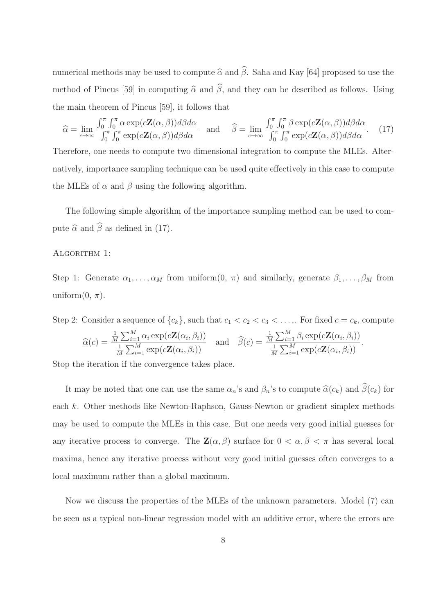numerical methods may be used to compute  $\widehat{\alpha}$  and  $\widehat{\beta}$ . Saha and Kay [64] proposed to use the method of Pincus [59] in computing  $\hat{\alpha}$  and  $\hat{\beta}$ , and they can be described as follows. Using the main theorem of Pincus [59], it follows that

$$
\widehat{\alpha} = \lim_{c \to \infty} \frac{\int_0^{\pi} \int_0^{\pi} \alpha \exp(c \mathbf{Z}(\alpha, \beta)) d\beta d\alpha}{\int_0^{\pi} \int_0^{\pi} \exp(c \mathbf{Z}(\alpha, \beta)) d\beta d\alpha} \quad \text{and} \quad \widehat{\beta} = \lim_{c \to \infty} \frac{\int_0^{\pi} \int_0^{\pi} \beta \exp(c \mathbf{Z}(\alpha, \beta)) d\beta d\alpha}{\int_0^{\pi} \int_0^{\pi} \exp(c \mathbf{Z}(\alpha, \beta)) d\beta d\alpha}.
$$
 (17)

Therefore, one needs to compute two dimensional integration to compute the MLEs. Alternatively, importance sampling technique can be used quite effectively in this case to compute the MLEs of  $\alpha$  and  $\beta$  using the following algorithm.

The following simple algorithm of the importance sampling method can be used to compute  $\widehat{\alpha}$  and  $\widehat{\beta}$  as defined in (17).

#### ALGORITHM 1:

Step 1: Generate  $\alpha_1, \ldots, \alpha_M$  from uniform $(0, \pi)$  and similarly, generate  $\beta_1, \ldots, \beta_M$  from uniform $(0, \pi)$ .

Step 2: Consider a sequence of  $\{c_k\}$ , such that  $c_1 < c_2 < c_3 < \ldots$ , For fixed  $c = c_k$ , compute

$$
\widehat{\alpha}(c) = \frac{\frac{1}{M} \sum_{i=1}^{M} \alpha_i \exp(c\mathbf{Z}(\alpha_i, \beta_i))}{\frac{1}{M} \sum_{i=1}^{M} \exp(c\mathbf{Z}(\alpha_i, \beta_i))}
$$
 and  $\widehat{\beta}(c) = \frac{\frac{1}{M} \sum_{i=1}^{M} \beta_i \exp(c\mathbf{Z}(\alpha_i, \beta_i))}{\frac{1}{M} \sum_{i=1}^{M} \exp(c\mathbf{Z}(\alpha_i, \beta_i))}$ 

.

Stop the iteration if the convergence takes place.

It may be noted that one can use the same  $\alpha_n$ 's and  $\beta_n$ 's to compute  $\hat{\alpha}(c_k)$  and  $\hat{\beta}(c_k)$  for each k. Other methods like Newton-Raphson, Gauss-Newton or gradient simplex methods may be used to compute the MLEs in this case. But one needs very good initial guesses for any iterative process to converge. The  $\mathbf{Z}(\alpha,\beta)$  surface for  $0 < \alpha,\beta < \pi$  has several local maxima, hence any iterative process without very good initial guesses often converges to a local maximum rather than a global maximum.

Now we discuss the properties of the MLEs of the unknown parameters. Model (7) can be seen as a typical non-linear regression model with an additive error, where the errors are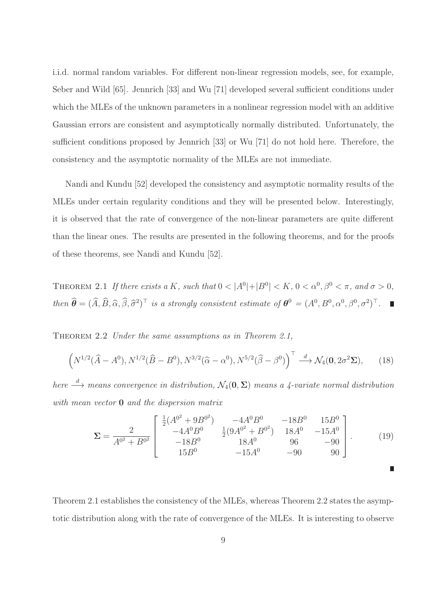i.i.d. normal random variables. For different non-linear regression models, see, for example, Seber and Wild [65]. Jennrich [33] and Wu [71] developed several sufficient conditions under which the MLEs of the unknown parameters in a nonlinear regression model with an additive Gaussian errors are consistent and asymptotically normally distributed. Unfortunately, the sufficient conditions proposed by Jennrich [33] or Wu [71] do not hold here. Therefore, the consistency and the asymptotic normality of the MLEs are not immediate.

Nandi and Kundu [52] developed the consistency and asymptotic normality results of the MLEs under certain regularity conditions and they will be presented below. Interestingly, it is observed that the rate of convergence of the non-linear parameters are quite different than the linear ones. The results are presented in the following theorems, and for the proofs of these theorems, see Nandi and Kundu [52].

THEOREM 2.1 If there exists a K, such that  $0 < |A^0|+|B^0| < K$ ,  $0 < \alpha^0, \beta^0 < \pi$ , and  $\sigma > 0$ , then  $\hat{\boldsymbol{\theta}} = (\hat{A}, \hat{B}, \hat{\alpha}, \hat{\beta}, \hat{\sigma}^2)^{\top}$  is a strongly consistent estimate of  $\boldsymbol{\theta}^0 = (A^0, B^0, \alpha^0, \beta^0, \sigma^2)^{\top}$ .

THEOREM 2.2 Under the same assumptions as in Theorem 2.1,

$$
\left(N^{1/2}(\widehat{A}-A^0), N^{1/2}(\widehat{B}-B^0), N^{3/2}(\widehat{\alpha}-\alpha^0), N^{5/2}(\widehat{\beta}-\beta^0)\right)^{\top} \stackrel{d}{\longrightarrow} \mathcal{N}_4(\mathbf{0}, 2\sigma^2 \Sigma),\tag{18}
$$

here  $\stackrel{d}{\longrightarrow}$  means convergence in distribution,  $\mathcal{N}_4(\mathbf{0}, \mathbf{\Sigma})$  means a 4-variate normal distribution with mean vector **0** and the dispersion matrix

$$
\Sigma = \frac{2}{A^{0^2} + B^{0^2}} \begin{bmatrix} \frac{1}{2}(A^{0^2} + 9B^{0^2}) & -4A^0B^0 & -18B^0 & 15B^0\\ -4A^0B^0 & \frac{1}{2}(9A^{0^2} + B^{0^2}) & 18A^0 & -15A^0\\ -18B^0 & 18A^0 & 96 & -90\\ 15B^0 & -15A^0 & -90 & 90 \end{bmatrix} .
$$
 (19)

Theorem 2.1 establishes the consistency of the MLEs, whereas Theorem 2.2 states the asymptotic distribution along with the rate of convergence of the MLEs. It is interesting to observe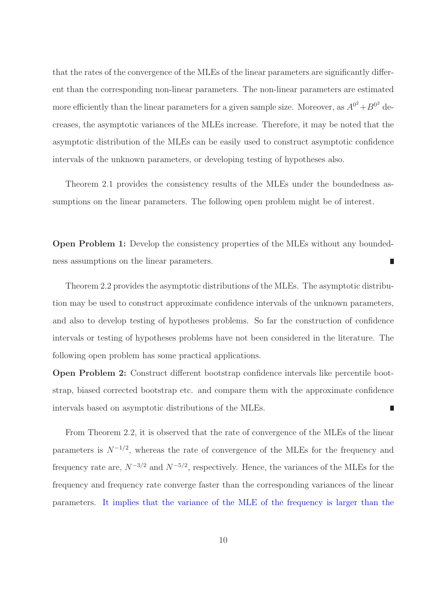that the rates of the convergence of the MLEs of the linear parameters are significantly different than the corresponding non-linear parameters. The non-linear parameters are estimated more efficiently than the linear parameters for a given sample size. Moreover, as  $A^{0^2} + B^{0^2}$  decreases, the asymptotic variances of the MLEs increase. Therefore, it may be noted that the asymptotic distribution of the MLEs can be easily used to construct asymptotic confidence intervals of the unknown parameters, or developing testing of hypotheses also.

Theorem 2.1 provides the consistency results of the MLEs under the boundedness assumptions on the linear parameters. The following open problem might be of interest.

Open Problem 1: Develop the consistency properties of the MLEs without any boundedness assumptions on the linear parameters. Π

Theorem 2.2 provides the asymptotic distributions of the MLEs. The asymptotic distribution may be used to construct approximate confidence intervals of the unknown parameters, and also to develop testing of hypotheses problems. So far the construction of confidence intervals or testing of hypotheses problems have not been considered in the literature. The following open problem has some practical applications.

Open Problem 2: Construct different bootstrap confidence intervals like percentile bootstrap, biased corrected bootstrap etc. and compare them with the approximate confidence intervals based on asymptotic distributions of the MLEs. П

From Theorem 2.2, it is observed that the rate of convergence of the MLEs of the linear parameters is  $N^{-1/2}$ , whereas the rate of convergence of the MLEs for the frequency and frequency rate are,  $N^{-3/2}$  and  $N^{-5/2}$ , respectively. Hence, the variances of the MLEs for the frequency and frequency rate converge faster than the corresponding variances of the linear parameters. It implies that the variance of the MLE of the frequency is larger than the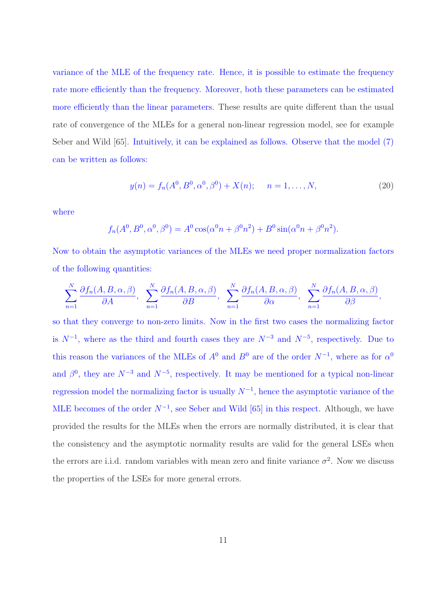variance of the MLE of the frequency rate. Hence, it is possible to estimate the frequency rate more efficiently than the frequency. Moreover, both these parameters can be estimated more efficiently than the linear parameters. These results are quite different than the usual rate of convergence of the MLEs for a general non-linear regression model, see for example Seber and Wild [65]. Intuitively, it can be explained as follows. Observe that the model (7) can be written as follows:

$$
y(n) = f_n(A^0, B^0, \alpha^0, \beta^0) + X(n); \qquad n = 1, \dots, N,
$$
 (20)

where

$$
f_n(A^0, B^0, \alpha^0, \beta^0) = A^0 \cos(\alpha^0 n + \beta^0 n^2) + B^0 \sin(\alpha^0 n + \beta^0 n^2).
$$

Now to obtain the asymptotic variances of the MLEs we need proper normalization factors of the following quantities:

$$
\sum_{n=1}^{N} \frac{\partial f_n(A, B, \alpha, \beta)}{\partial A}, \quad \sum_{n=1}^{N} \frac{\partial f_n(A, B, \alpha, \beta)}{\partial B}, \quad \sum_{n=1}^{N} \frac{\partial f_n(A, B, \alpha, \beta)}{\partial \alpha}, \quad \sum_{n=1}^{N} \frac{\partial f_n(A, B, \alpha, \beta)}{\partial \beta},
$$

so that they converge to non-zero limits. Now in the first two cases the normalizing factor is  $N^{-1}$ , where as the third and fourth cases they are  $N^{-3}$  and  $N^{-5}$ , respectively. Due to this reason the variances of the MLEs of  $A^0$  and  $B^0$  are of the order  $N^{-1}$ , where as for  $\alpha^0$ and  $\beta^0$ , they are  $N^{-3}$  and  $N^{-5}$ , respectively. It may be mentioned for a typical non-linear regression model the normalizing factor is usually  $N^{-1}$ , hence the asymptotic variance of the MLE becomes of the order  $N^{-1}$ , see Seber and Wild [65] in this respect. Although, we have provided the results for the MLEs when the errors are normally distributed, it is clear that the consistency and the asymptotic normality results are valid for the general LSEs when the errors are i.i.d. random variables with mean zero and finite variance  $\sigma^2$ . Now we discuss the properties of the LSEs for more general errors.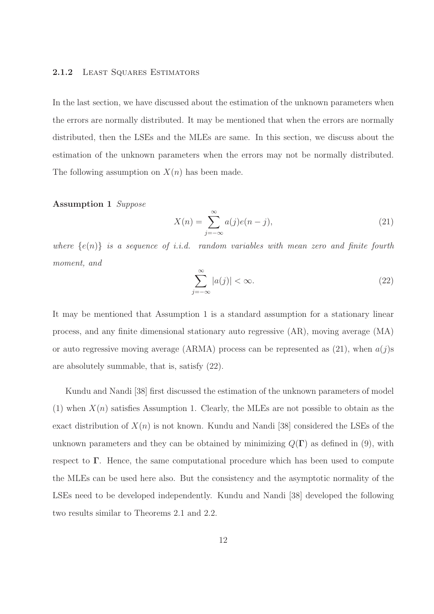#### 2.1.2 LEAST SQUARES ESTIMATORS

In the last section, we have discussed about the estimation of the unknown parameters when the errors are normally distributed. It may be mentioned that when the errors are normally distributed, then the LSEs and the MLEs are same. In this section, we discuss about the estimation of the unknown parameters when the errors may not be normally distributed. The following assumption on  $X(n)$  has been made.

#### Assumption 1 Suppose

$$
X(n) = \sum_{j=-\infty}^{\infty} a(j)e(n-j),
$$
\n(21)

where  $\{e(n)\}\$ is a sequence of *i.i.d.* random variables with mean zero and finite fourth moment, and

$$
\sum_{j=-\infty}^{\infty} |a(j)| < \infty. \tag{22}
$$

It may be mentioned that Assumption 1 is a standard assumption for a stationary linear process, and any finite dimensional stationary auto regressive (AR), moving average (MA) or auto regressive moving average (ARMA) process can be represented as  $(21)$ , when  $a(j)$ s are absolutely summable, that is, satisfy (22).

Kundu and Nandi [38] first discussed the estimation of the unknown parameters of model (1) when  $X(n)$  satisfies Assumption 1. Clearly, the MLEs are not possible to obtain as the exact distribution of  $X(n)$  is not known. Kundu and Nandi [38] considered the LSEs of the unknown parameters and they can be obtained by minimizing  $Q(\Gamma)$  as defined in (9), with respect to Γ. Hence, the same computational procedure which has been used to compute the MLEs can be used here also. But the consistency and the asymptotic normality of the LSEs need to be developed independently. Kundu and Nandi [38] developed the following two results similar to Theorems 2.1 and 2.2.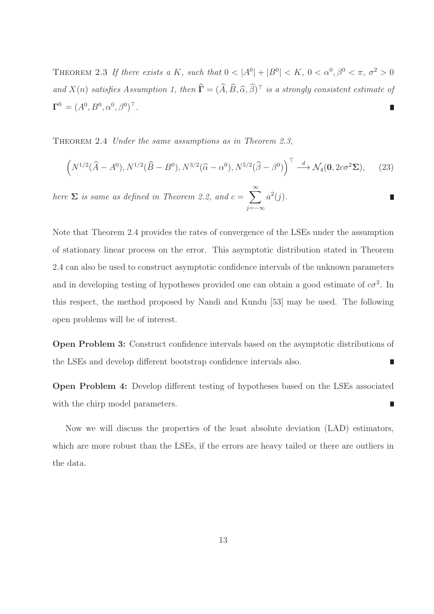THEOREM 2.3 If there exists a K, such that  $0 < |A^0| + |B^0| < K$ ,  $0 < \alpha^0, \beta^0 < \pi$ ,  $\sigma^2 > 0$ and  $X(n)$  satisfies Assumption 1, then  $\hat{\mathbf{\Gamma}} = (\hat{A}, \hat{B}, \hat{\alpha}, \hat{\beta})^{\top}$  is a strongly consistent estimate of  $\mathbf{\Gamma}^0 = (A^0, B^0, \alpha^0, \beta^0)^\top.$ π

THEOREM 2.4 Under the same assumptions as in Theorem 2.3,

$$
\left(N^{1/2}(\widehat{A}-A^0), N^{1/2}(\widehat{B}-B^0), N^{3/2}(\widehat{\alpha}-\alpha^0), N^{5/2}(\widehat{\beta}-\beta^0)\right)^{\top} \stackrel{d}{\longrightarrow} \mathcal{N}_4(\mathbf{0}, 2c\sigma^2 \Sigma),\tag{23}
$$

here  $\Sigma$  is same as defined in Theorem 2.2, and  $c = \sum_{n=1}^{\infty}$  $a^2(j)$ . π j=−∞

Note that Theorem 2.4 provides the rates of convergence of the LSEs under the assumption of stationary linear process on the error. This asymptotic distribution stated in Theorem 2.4 can also be used to construct asymptotic confidence intervals of the unknown parameters and in developing testing of hypotheses provided one can obtain a good estimate of  $c\sigma^2$ . In this respect, the method proposed by Nandi and Kundu [53] may be used. The following open problems will be of interest.

Open Problem 3: Construct confidence intervals based on the asymptotic distributions of the LSEs and develop different bootstrap confidence intervals also. Π

Open Problem 4: Develop different testing of hypotheses based on the LSEs associated Ē. with the chirp model parameters.

Now we will discuss the properties of the least absolute deviation (LAD) estimators, which are more robust than the LSEs, if the errors are heavy tailed or there are outliers in the data.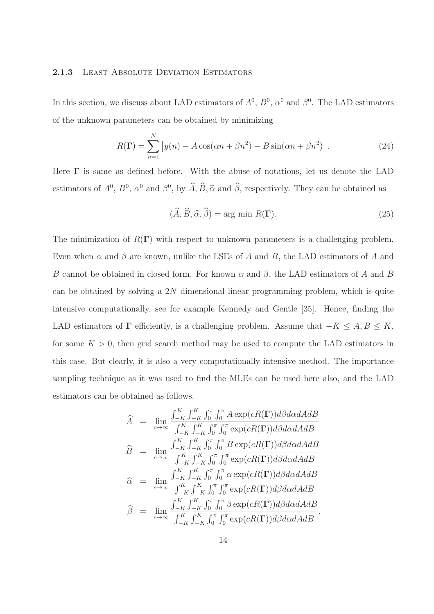#### 2.1.3 LEAST ABSOLUTE DEVIATION ESTIMATORS

In this section, we discuss about LAD estimators of  $A^0$ ,  $B^0$ ,  $\alpha^0$  and  $\beta^0$ . The LAD estimators of the unknown parameters can be obtained by minimizing

$$
R(\Gamma) = \sum_{n=1}^{N} |y(n) - A\cos(\alpha n + \beta n^2) - B\sin(\alpha n + \beta n^2)|.
$$
 (24)

Here  $\Gamma$  is same as defined before. With the abuse of notations, let us denote the LAD estimators of  $A^0$ ,  $B^0$ ,  $\alpha^0$  and  $\beta^0$ , by  $\hat{A}, \hat{B}, \hat{\alpha}$  and  $\hat{\beta}$ , respectively. They can be obtained as

$$
(\widehat{A}, \widehat{B}, \widehat{\alpha}, \widehat{\beta}) = \arg \min R(\Gamma). \tag{25}
$$

The minimization of  $R(\Gamma)$  with respect to unknown parameters is a challenging problem. Even when  $\alpha$  and  $\beta$  are known, unlike the LSEs of A and B, the LAD estimators of A and B cannot be obtained in closed form. For known  $\alpha$  and  $\beta$ , the LAD estimators of A and B can be obtained by solving a  $2N$  dimensional linear programming problem, which is quite intensive computationally, see for example Kennedy and Gentle [35]. Hence, finding the LAD estimators of  $\Gamma$  efficiently, is a challenging problem. Assume that  $-K \leq A, B \leq K$ , for some  $K > 0$ , then grid search method may be used to compute the LAD estimators in this case. But clearly, it is also a very computationally intensive method. The importance sampling technique as it was used to find the MLEs can be used here also, and the LAD estimators can be obtained as follows.

$$
\hat{A} = \lim_{c \to \infty} \frac{\int_{-K}^{K} \int_{-K}^{K} \int_{0}^{\pi} \int_{0}^{\pi} A \exp(cR(\mathbf{\Gamma})) d\beta d\alpha dA dB}{\int_{-K}^{K} \int_{-K}^{K} \int_{0}^{\pi} \int_{0}^{\pi} \exp(cR(\mathbf{\Gamma})) d\beta d\alpha dA dB}
$$
\n
$$
\hat{B} = \lim_{c \to \infty} \frac{\int_{-K}^{K} \int_{-K}^{K} \int_{0}^{\pi} \int_{0}^{\pi} B \exp(cR(\mathbf{\Gamma})) d\beta d\alpha dA dB}{\int_{-K}^{K} \int_{-K}^{K} \int_{0}^{\pi} \int_{0}^{\pi} \exp(cR(\mathbf{\Gamma})) d\beta d\alpha dA dB}
$$
\n
$$
\hat{\alpha} = \lim_{c \to \infty} \frac{\int_{-K}^{K} \int_{-K}^{K} \int_{0}^{\pi} \int_{0}^{\pi} \alpha \exp(cR(\mathbf{\Gamma})) d\beta d\alpha dA dB}{\int_{-K}^{K} \int_{-K}^{K} \int_{0}^{\pi} \int_{0}^{\pi} \exp(cR(\mathbf{\Gamma})) d\beta d\alpha dA dB}
$$
\n
$$
\hat{\beta} = \lim_{c \to \infty} \frac{\int_{-K}^{K} \int_{-K}^{K} \int_{0}^{\pi} \int_{0}^{\pi} \beta \exp(cR(\mathbf{\Gamma})) d\beta d\alpha dA dB}{\int_{-K}^{K} \int_{-K}^{K} \int_{0}^{\pi} \int_{0}^{\pi} \exp(cR(\mathbf{\Gamma})) d\beta d\alpha dA dB}.
$$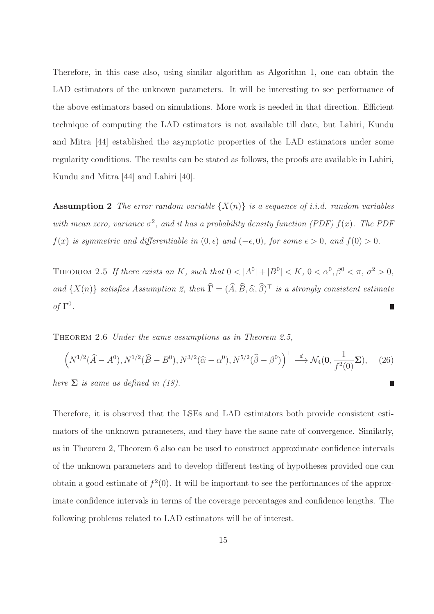Therefore, in this case also, using similar algorithm as Algorithm 1, one can obtain the LAD estimators of the unknown parameters. It will be interesting to see performance of the above estimators based on simulations. More work is needed in that direction. Efficient technique of computing the LAD estimators is not available till date, but Lahiri, Kundu and Mitra [44] established the asymptotic properties of the LAD estimators under some regularity conditions. The results can be stated as follows, the proofs are available in Lahiri, Kundu and Mitra [44] and Lahiri [40].

**Assumption 2** The error random variable  $\{X(n)\}\$ is a sequence of i.i.d. random variables with mean zero, variance  $\sigma^2$ , and it has a probability density function (PDF)  $f(x)$ . The PDF  $f(x)$  is symmetric and differentiable in  $(0, \epsilon)$  and  $(-\epsilon, 0)$ , for some  $\epsilon > 0$ , and  $f(0) > 0$ .

THEOREM 2.5 If there exists an K, such that  $0 < |A^0| + |B^0| < K$ ,  $0 < \alpha^0, \beta^0 < \pi$ ,  $\sigma^2 > 0$ , and  $\{X(n)\}\$  satisfies Assumption 2, then  $\hat{\mathbf{\Gamma}} = (\hat{A}, \hat{B}, \hat{\alpha}, \hat{\beta})^{\top}$  is a strongly consistent estimate of  $\Gamma^0$ .

THEOREM 2.6 Under the same assumptions as in Theorem 2.5,

$$
\left(N^{1/2}(\widehat{A}-A^0), N^{1/2}(\widehat{B}-B^0), N^{3/2}(\widehat{\alpha}-\alpha^0), N^{5/2}(\widehat{\beta}-\beta^0)\right)^{\top} \stackrel{d}{\longrightarrow} \mathcal{N}_4(\mathbf{0}, \frac{1}{f^2(0)}\mathbf{\Sigma}), \quad (26)
$$
  
here  $\Sigma$  is same as defined in (18).

Therefore, it is observed that the LSEs and LAD estimators both provide consistent estimators of the unknown parameters, and they have the same rate of convergence. Similarly, as in Theorem 2, Theorem 6 also can be used to construct approximate confidence intervals of the unknown parameters and to develop different testing of hypotheses provided one can obtain a good estimate of  $f^2(0)$ . It will be important to see the performances of the approximate confidence intervals in terms of the coverage percentages and confidence lengths. The following problems related to LAD estimators will be of interest.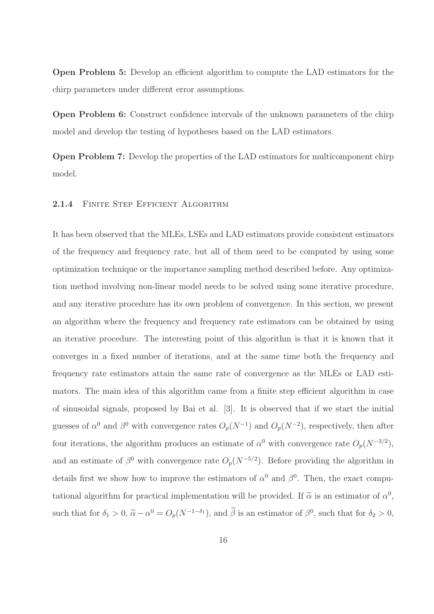Open Problem 5: Develop an efficient algorithm to compute the LAD estimators for the chirp parameters under different error assumptions.

Open Problem 6: Construct confidence intervals of the unknown parameters of the chirp model and develop the testing of hypotheses based on the LAD estimators.

Open Problem 7: Develop the properties of the LAD estimators for multicomponent chirp model.

#### 2.1.4 FINITE STEP EFFICIENT ALGORITHM

It has been observed that the MLEs, LSEs and LAD estimators provide consistent estimators of the frequency and frequency rate, but all of them need to be computed by using some optimization technique or the importance sampling method described before. Any optimization method involving non-linear model needs to be solved using some iterative procedure, and any iterative procedure has its own problem of convergence. In this section, we present an algorithm where the frequency and frequency rate estimators can be obtained by using an iterative procedure. The interesting point of this algorithm is that it is known that it converges in a fixed number of iterations, and at the same time both the frequency and frequency rate estimators attain the same rate of convergence as the MLEs or LAD estimators. The main idea of this algorithm came from a finite step efficient algorithm in case of sinusoidal signals, proposed by Bai et al. [3]. It is observed that if we start the initial guesses of  $\alpha^0$  and  $\beta^0$  with convergence rates  $O_p(N^{-1})$  and  $O_p(N^{-2})$ , respectively, then after four iterations, the algorithm produces an estimate of  $\alpha^0$  with convergence rate  $O_p(N^{-3/2})$ , and an estimate of  $\beta^0$  with convergence rate  $O_p(N^{-5/2})$ . Before providing the algorithm in details first we show how to improve the estimators of  $\alpha^0$  and  $\beta^0$ . Then, the exact computational algorithm for practical implementation will be provided. If  $\tilde{\alpha}$  is an estimator of  $\alpha^0$ , such that for  $\delta_1 > 0$ ,  $\tilde{\alpha} - \alpha^0 = O_p(N^{-1-\delta_1})$ , and  $\beta$  is an estimator of  $\beta^0$ , such that for  $\delta_2 > 0$ ,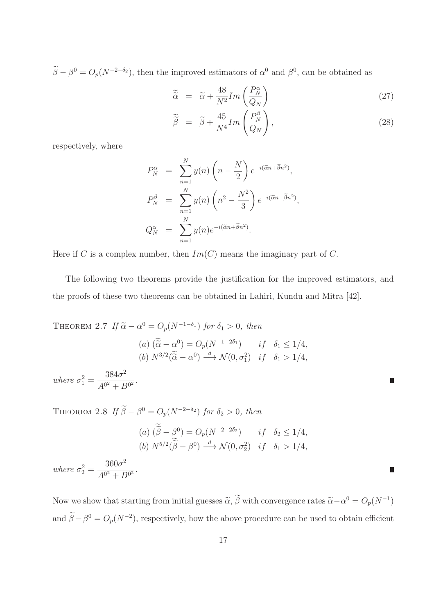$\beta - \beta^0 = O_p(N^{-2-\delta_2})$ , then the improved estimators of  $\alpha^0$  and  $\beta^0$ , can be obtained as

$$
\widetilde{\widetilde{\alpha}} = \widetilde{\alpha} + \frac{48}{N^2} Im\left(\frac{P_N^{\alpha}}{Q_N}\right) \tag{27}
$$

$$
\widetilde{\widetilde{\beta}} = \widetilde{\beta} + \frac{45}{N^4} Im\left(\frac{P_N^{\beta}}{Q_N}\right),\tag{28}
$$

Π

respectively, where

$$
P_N^{\alpha} = \sum_{n=1}^{N} y(n) \left( n - \frac{N}{2} \right) e^{-i(\tilde{\alpha}n + \tilde{\beta}n^2)},
$$
  
\n
$$
P_N^{\beta} = \sum_{n=1}^{N} y(n) \left( n^2 - \frac{N^2}{3} \right) e^{-i(\tilde{\alpha}n + \tilde{\beta}n^2)},
$$
  
\n
$$
Q_N^{\alpha} = \sum_{n=1}^{N} y(n) e^{-i(\tilde{\alpha}n + \tilde{\beta}n^2)}.
$$

Here if C is a complex number, then  $Im(C)$  means the imaginary part of C.

The following two theorems provide the justification for the improved estimators, and the proofs of these two theorems can be obtained in Lahiri, Kundu and Mitra [42].

THEOREM 2.7 If 
$$
\tilde{\alpha} - \alpha^0 = O_p(N^{-1-\delta_1})
$$
 for  $\delta_1 > 0$ , then  
\n(a)  $(\tilde{\alpha} - \alpha^0) = O_p(N^{-1-2\delta_1})$  if  $\delta_1 \le 1/4$ ,  
\n(b)  $N^{3/2}(\tilde{\alpha} - \alpha^0) \xrightarrow{d} \mathcal{N}(0, \sigma_1^2)$  if  $\delta_1 > 1/4$ ,  
\nwhere  $\sigma_1^2 = \frac{384\sigma^2}{A^{0^2} + B^{0^2}}$ .

THEOREM 2.8 If  $\beta - \beta^0 = O_p(N^{-2-\delta_2})$  for  $\delta_2 > 0$ , then (a)  $(\beta - \beta^0) = O_p(N^{-2-2\delta_2})$  if  $\delta_2 \le 1/4$ , (b)  $N^{5/2}(\tilde{\beta} - \beta^0) \stackrel{d}{\longrightarrow} \mathcal{N}(0, \sigma_2^2)$  if  $\delta_1 > 1/4$ , where  $\sigma_2^2 =$  $360\sigma^2$  $\frac{3888}{A^{0^2}+B^{0^2}}$ .

Now we show that starting from initial guesses  $\tilde{\alpha}$ ,  $\tilde{\beta}$  with convergence rates  $\tilde{\alpha} - \alpha^0 = O_p(N^{-1})$ and  $\beta - \beta^0 = O_p(N^{-2})$ , respectively, how the above procedure can be used to obtain efficient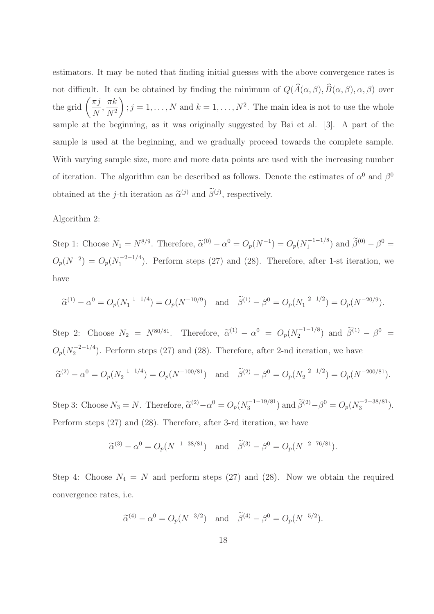estimators. It may be noted that finding initial guesses with the above convergence rates is not difficult. It can be obtained by finding the minimum of  $Q(\widehat{A}(\alpha,\beta), \widehat{B}(\alpha,\beta), \alpha, \beta)$  over the grid  $\left(\frac{\pi j}{N}\right)$  $\overline{N}$ ,  $\pi k$  $N^2$  $\setminus$  $; j = 1, \ldots, N$  and  $k = 1, \ldots, N^2$ . The main idea is not to use the whole sample at the beginning, as it was originally suggested by Bai et al. [3]. A part of the sample is used at the beginning, and we gradually proceed towards the complete sample. With varying sample size, more and more data points are used with the increasing number of iteration. The algorithm can be described as follows. Denote the estimates of  $\alpha^0$  and  $\beta^0$ obtained at the *j*-th iteration as  $\tilde{\alpha}^{(j)}$  and  $\tilde{\beta}^{(j)}$ , respectively.

### Algorithm 2:

Step 1: Choose  $N_1 = N^{8/9}$ . Therefore,  $\tilde{\alpha}^{(0)} - \alpha^0 = O_p(N^{-1}) = O_p(N_1^{-1-1/8})$  $j_1^{(-1-1/8})$  and  $\tilde{\beta}^{(0)} - \beta^0 =$  $O_p(N^{-2}) = O_p(N_1^{-2-1/4})$  $\binom{1}{1}$ . Perform steps (27) and (28). Therefore, after 1-st iteration, we have

$$
\widetilde{\alpha}^{(1)} - \alpha^0 = O_p(N_1^{-1-1/4}) = O_p(N^{-10/9})
$$
 and  $\widetilde{\beta}^{(1)} - \beta^0 = O_p(N_1^{-2-1/2}) = O_p(N^{-20/9}).$ 

Step 2: Choose  $N_2 = N^{80/81}$ . Therefore,  $\tilde{\alpha}^{(1)} - \alpha^0 = O_p(N_2^{-1-1/8})$  $\tilde{\beta}^{(1)} - \beta^{0} =$  $O_p(N_2^{-2-1/4})$  $2^{2-2-1/4}$ ). Perform steps (27) and (28). Therefore, after 2-nd iteration, we have  $\widetilde{\alpha}^{(2)} - \alpha^0 = O_p(N_2^{-1-1/4})$  $\widetilde{\beta}^{(2)} - \beta^0 = O_p(N^{-100/81})$  and  $\widetilde{\beta}^{(2)} - \beta^0 = O_p(N_2^{-2-1/2})$  $\binom{(-2)-1}{2} = O_p(N^{-200/81}).$ 

Step 3: Choose  $N_3 = N$ . Therefore,  $\tilde{\alpha}^{(2)} - \alpha^0 = O_p(N_3^{-1-19/81})$  $S_3^{(-1-19/81})$  and  $\widetilde{\beta}^{(2)} - \beta^0 = O_p(N_3^{-2-38/81})$  $\binom{3}{3}$ . Perform steps (27) and (28). Therefore, after 3-rd iteration, we have

$$
\tilde{\alpha}^{(3)} - \alpha^0 = O_p(N^{-1-38/81})
$$
 and  $\tilde{\beta}^{(3)} - \beta^0 = O_p(N^{-2-76/81}).$ 

Step 4: Choose  $N_4 = N$  and perform steps (27) and (28). Now we obtain the required convergence rates, i.e.

$$
\tilde{\alpha}^{(4)} - \alpha^0 = O_p(N^{-3/2})
$$
 and  $\tilde{\beta}^{(4)} - \beta^0 = O_p(N^{-5/2}).$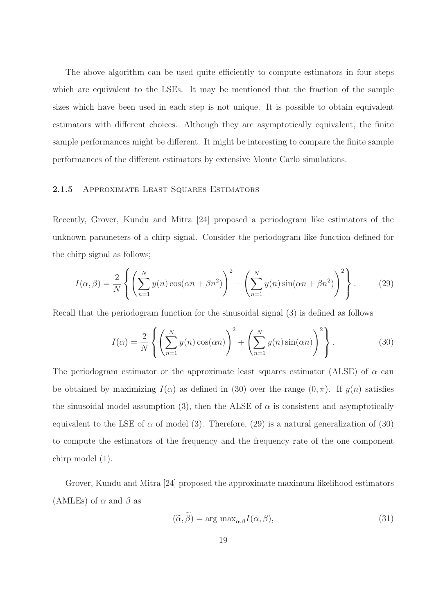The above algorithm can be used quite efficiently to compute estimators in four steps which are equivalent to the LSEs. It may be mentioned that the fraction of the sample sizes which have been used in each step is not unique. It is possible to obtain equivalent estimators with different choices. Although they are asymptotically equivalent, the finite sample performances might be different. It might be interesting to compare the finite sample performances of the different estimators by extensive Monte Carlo simulations.

#### 2.1.5 APPROXIMATE LEAST SQUARES ESTIMATORS

Recently, Grover, Kundu and Mitra [24] proposed a periodogram like estimators of the unknown parameters of a chirp signal. Consider the periodogram like function defined for the chirp signal as follows;

$$
I(\alpha, \beta) = \frac{2}{N} \left\{ \left( \sum_{n=1}^{N} y(n) \cos(\alpha n + \beta n^2) \right)^2 + \left( \sum_{n=1}^{N} y(n) \sin(\alpha n + \beta n^2) \right)^2 \right\}.
$$
 (29)

Recall that the periodogram function for the sinusoidal signal (3) is defined as follows

$$
I(\alpha) = \frac{2}{N} \left\{ \left( \sum_{n=1}^{N} y(n) \cos(\alpha n) \right)^2 + \left( \sum_{n=1}^{N} y(n) \sin(\alpha n) \right)^2 \right\}.
$$
 (30)

The periodogram estimator or the approximate least squares estimator (ALSE) of  $\alpha$  can be obtained by maximizing  $I(\alpha)$  as defined in (30) over the range  $(0, \pi)$ . If  $y(n)$  satisfies the sinusoidal model assumption (3), then the ALSE of  $\alpha$  is consistent and asymptotically equivalent to the LSE of  $\alpha$  of model (3). Therefore, (29) is a natural generalization of (30) to compute the estimators of the frequency and the frequency rate of the one component chirp model (1).

Grover, Kundu and Mitra [24] proposed the approximate maximum likelihood estimators (AMLEs) of  $\alpha$  and  $\beta$  as

$$
(\widetilde{\alpha}, \widetilde{\beta}) = \arg \max_{\alpha, \beta} I(\alpha, \beta), \tag{31}
$$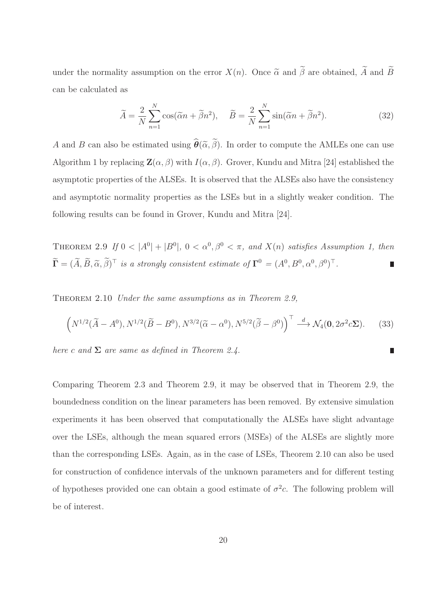under the normality assumption on the error  $X(n)$ . Once  $\tilde{\alpha}$  and  $\tilde{\beta}$  are obtained,  $\tilde{A}$  and  $\tilde{B}$ can be calculated as

$$
\widetilde{A} = \frac{2}{N} \sum_{n=1}^{N} \cos(\widetilde{\alpha}n + \widetilde{\beta}n^2), \quad \widetilde{B} = \frac{2}{N} \sum_{n=1}^{N} \sin(\widetilde{\alpha}n + \widetilde{\beta}n^2). \tag{32}
$$

A and B can also be estimated using  $\hat{\theta}(\tilde{\alpha}, \tilde{\beta})$ . In order to compute the AMLEs one can use Algorithm 1 by replacing  $\mathbf{Z}(\alpha, \beta)$  with  $I(\alpha, \beta)$ . Grover, Kundu and Mitra [24] established the asymptotic properties of the ALSEs. It is observed that the ALSEs also have the consistency and asymptotic normality properties as the LSEs but in a slightly weaker condition. The following results can be found in Grover, Kundu and Mitra [24].

THEOREM 2.9 If  $0 < |A^0| + |B^0|$ ,  $0 < \alpha^0, \beta^0 < \pi$ , and  $X(n)$  satisfies Assumption 1, then  $\widetilde{\mathbf{\Gamma}} = (\widetilde{A}, \widetilde{B}, \widetilde{\alpha}, \widetilde{\beta})^{\top}$  is a strongly consistent estimate of  $\mathbf{\Gamma}^0 = (A^0, B^0, \alpha^0, \beta^0)^{\top}$ .

THEOREM 2.10 Under the same assumptions as in Theorem 2.9,

$$
\left(N^{1/2}(\widetilde{A}-A^0), N^{1/2}(\widetilde{B}-B^0), N^{3/2}(\widetilde{\alpha}-\alpha^0), N^{5/2}(\widetilde{\beta}-\beta^0)\right)^{\top} \stackrel{d}{\longrightarrow} \mathcal{N}_4(\mathbf{0}, 2\sigma^2 c \Sigma). \tag{33}
$$

П

here c and  $\Sigma$  are same as defined in Theorem 2.4.

Comparing Theorem 2.3 and Theorem 2.9, it may be observed that in Theorem 2.9, the boundedness condition on the linear parameters has been removed. By extensive simulation experiments it has been observed that computationally the ALSEs have slight advantage over the LSEs, although the mean squared errors (MSEs) of the ALSEs are slightly more than the corresponding LSEs. Again, as in the case of LSEs, Theorem 2.10 can also be used for construction of confidence intervals of the unknown parameters and for different testing of hypotheses provided one can obtain a good estimate of  $\sigma^2 c$ . The following problem will be of interest.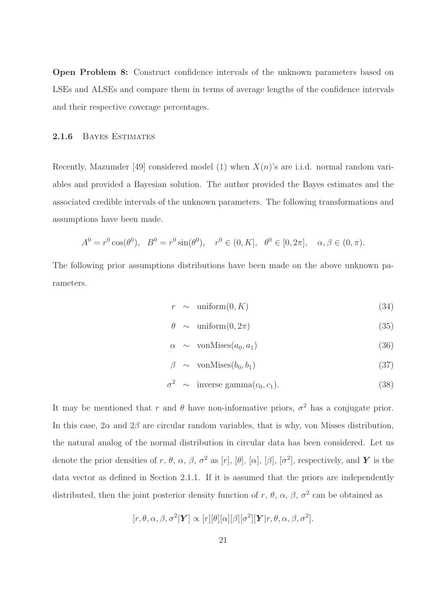Open Problem 8: Construct confidence intervals of the unknown parameters based on LSEs and ALSEs and compare them in terms of average lengths of the confidence intervals and their respective coverage percentages.

#### 2.1.6 Bayes Estimates

Recently, Mazumder [49] considered model (1) when  $X(n)$ 's are i.i.d. normal random variables and provided a Bayesian solution. The author provided the Bayes estimates and the associated credible intervals of the unknown parameters. The following transformations and assumptions have been made.

$$
A^{0} = r^{0} \cos(\theta^{0}), \quad B^{0} = r^{0} \sin(\theta^{0}), \quad r^{0} \in (0, K], \quad \theta^{0} \in [0, 2\pi], \quad \alpha, \beta \in (0, \pi).
$$

The following prior assumptions distributions have been made on the above unknown parameters.

$$
r \sim \text{uniform}(0, K) \tag{34}
$$

$$
\theta \sim \text{uniform}(0, 2\pi) \tag{35}
$$

$$
\alpha \sim \text{vonMises}(a_0, a_1) \tag{36}
$$

$$
\beta \sim \text{vonMises}(b_0, b_1) \tag{37}
$$

$$
\sigma^2 \sim \text{inverse gamma}(c_0, c_1). \tag{38}
$$

It may be mentioned that r and  $\theta$  have non-informative priors,  $\sigma^2$  has a conjugate prior. In this case,  $2\alpha$  and  $2\beta$  are circular random variables, that is why, von Misses distribution, the natural analog of the normal distribution in circular data has been considered. Let us denote the prior densities of r,  $\theta$ ,  $\alpha$ ,  $\beta$ ,  $\sigma^2$  as [r], [ $\theta$ ], [ $\alpha$ ], [ $\beta$ ], [ $\sigma^2$ ], respectively, and Y is the data vector as defined in Section 2.1.1. If it is assumed that the priors are independently distributed, then the joint posterior density function of r,  $\theta$ ,  $\alpha$ ,  $\beta$ ,  $\sigma^2$  can be obtained as

$$
[r, \theta, \alpha, \beta, \sigma^2 | \mathbf{Y}] \propto [r] [\theta] [\alpha] [\beta] [\sigma^2] [\mathbf{Y} | r, \theta, \alpha, \beta, \sigma^2].
$$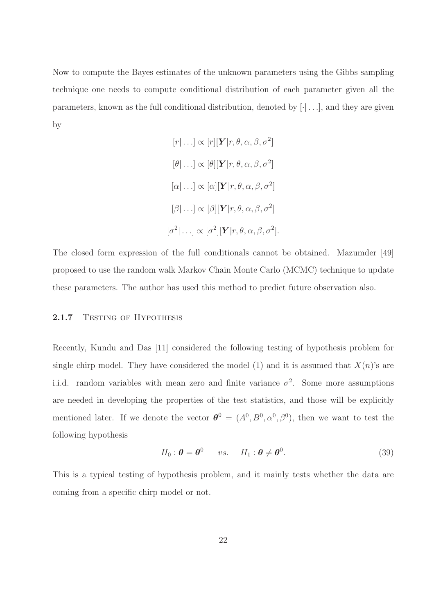Now to compute the Bayes estimates of the unknown parameters using the Gibbs sampling technique one needs to compute conditional distribution of each parameter given all the parameters, known as the full conditional distribution, denoted by  $[\cdot] \dots]$ , and they are given by

$$
[r|\ldots] \propto [r][\mathbf{Y}|r,\theta,\alpha,\beta,\sigma^2]
$$

$$
[\theta|\ldots] \propto [\theta][\mathbf{Y}|r,\theta,\alpha,\beta,\sigma^2]
$$

$$
[\alpha|\ldots] \propto [\alpha][\mathbf{Y}|r,\theta,\alpha,\beta,\sigma^2]
$$

$$
[\beta|\ldots] \propto [\beta][\mathbf{Y}|r,\theta,\alpha,\beta,\sigma^2]
$$

$$
[\sigma^2|\ldots] \propto [\sigma^2][\mathbf{Y}|r,\theta,\alpha,\beta,\sigma^2].
$$

The closed form expression of the full conditionals cannot be obtained. Mazumder [49] proposed to use the random walk Markov Chain Monte Carlo (MCMC) technique to update these parameters. The author has used this method to predict future observation also.

#### 2.1.7 TESTING OF HYPOTHESIS

Recently, Kundu and Das [11] considered the following testing of hypothesis problem for single chirp model. They have considered the model (1) and it is assumed that  $X(n)$ 's are i.i.d. random variables with mean zero and finite variance  $\sigma^2$ . Some more assumptions are needed in developing the properties of the test statistics, and those will be explicitly mentioned later. If we denote the vector  $\boldsymbol{\theta}^0 = (A^0, B^0, \alpha^0, \beta^0)$ , then we want to test the following hypothesis

$$
H_0: \boldsymbol{\theta} = \boldsymbol{\theta}^0 \qquad vs. \qquad H_1: \boldsymbol{\theta} \neq \boldsymbol{\theta}^0. \tag{39}
$$

This is a typical testing of hypothesis problem, and it mainly tests whether the data are coming from a specific chirp model or not.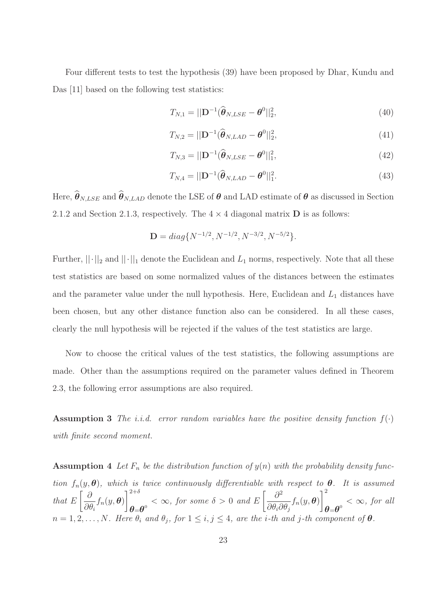Four different tests to test the hypothesis (39) have been proposed by Dhar, Kundu and Das [11] based on the following test statistics:

$$
T_{N,1} = ||\mathbf{D}^{-1}(\widehat{\boldsymbol{\theta}}_{N, LSE} - \boldsymbol{\theta}^0||_2^2, \tag{40}
$$

$$
T_{N,2} = ||\mathbf{D}^{-1}(\widehat{\boldsymbol{\theta}}_{N,LAD} - \boldsymbol{\theta}^0||_2^2, \tag{41}
$$

$$
T_{N,3} = ||\mathbf{D}^{-1}(\widehat{\boldsymbol{\theta}}_{N, LSE} - \boldsymbol{\theta}^{0}||_{1}^{2},
$$
\n(42)

$$
T_{N,4} = ||\mathbf{D}^{-1}(\widehat{\boldsymbol{\theta}}_{N,LAD} - \boldsymbol{\theta}^0||_1^2. \tag{43}
$$

Here,  $\hat{\theta}_{N, LSE}$  and  $\hat{\theta}_{N, LAD}$  denote the LSE of  $\theta$  and LAD estimate of  $\theta$  as discussed in Section 2.1.2 and Section 2.1.3, respectively. The  $4 \times 4$  diagonal matrix **D** is as follows:

$$
\mathbf{D} = diag\{N^{-1/2}, N^{-1/2}, N^{-3/2}, N^{-5/2}\}.
$$

Further,  $||\cdot||_2$  and  $||\cdot||_1$  denote the Euclidean and  $L_1$  norms, respectively. Note that all these test statistics are based on some normalized values of the distances between the estimates and the parameter value under the null hypothesis. Here, Euclidean and  $L_1$  distances have been chosen, but any other distance function also can be considered. In all these cases, clearly the null hypothesis will be rejected if the values of the test statistics are large.

Now to choose the critical values of the test statistics, the following assumptions are made. Other than the assumptions required on the parameter values defined in Theorem 2.3, the following error assumptions are also required.

**Assumption 3** The i.i.d. error random variables have the positive density function  $f(\cdot)$ with finite second moment.

Assumption 4 Let  $F_n$  be the distribution function of  $y(n)$  with the probability density function  $f_n(y, \theta)$ , which is twice continuously differentiable with respect to  $\theta$ . It is assumed that E ∂  $\partial\theta_i$  $f_n(y, \boldsymbol{\theta})$  $7^{2+\delta}$  $\theta = \theta^0$  <  $\infty$ , for some  $\delta > 0$  and E  $\int \partial^2$  $\partial\theta_i\partial\theta_j$  $f_n(y, \boldsymbol{\theta})$  $\mathbb{R}^2$  $\boldsymbol{\theta}$ = $\boldsymbol{\theta}^{\text{o}}$  <  $\infty$ , for all  $n = 1, 2, \ldots, N$ . Here  $\theta_i$  and  $\theta_j$ , for  $1 \leq i, j \leq 4$ , are the *i*-th and *j*-th component of  $\theta$ .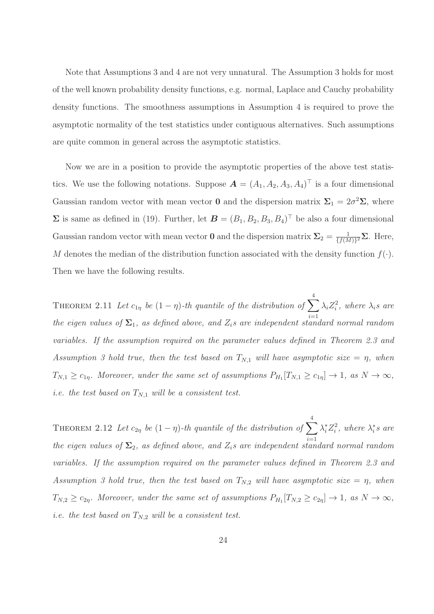Note that Assumptions 3 and 4 are not very unnatural. The Assumption 3 holds for most of the well known probability density functions, e.g. normal, Laplace and Cauchy probability density functions. The smoothness assumptions in Assumption 4 is required to prove the asymptotic normality of the test statistics under contiguous alternatives. Such assumptions are quite common in general across the asymptotic statistics.

Now we are in a position to provide the asymptotic properties of the above test statistics. We use the following notations. Suppose  $\mathbf{A} = (A_1, A_2, A_3, A_4)^\top$  is a four dimensional Gaussian random vector with mean vector **0** and the dispersion matrix  $\Sigma_1 = 2\sigma^2 \Sigma$ , where  $\Sigma$  is same as defined in (19). Further, let  $\boldsymbol{B} = (B_1, B_2, B_3, B_4)^{\top}$  be also a four dimensional Gaussian random vector with mean vector **0** and the dispersion matrix  $\Sigma_2 = \frac{1}{\{f(k)\}}$  $\frac{1}{\{f(M)\}^2} \Sigma$ . Here, M denotes the median of the distribution function associated with the density function  $f(.)$ . Then we have the following results.

THEOREM 2.11 Let  $c_{1\eta}$  be  $(1 - \eta)$ -th quantile of the distribution of  $\sum^4$  $i=1$  $\lambda_i Z_i^2$ , where  $\lambda_i s$  are the eigen values of  $\Sigma_1$ , as defined above, and  $Z_i$ s are independent standard normal random variables. If the assumption required on the parameter values defined in Theorem 2.3 and Assumption 3 hold true, then the test based on  $T_{N,1}$  will have asymptotic size =  $\eta$ , when  $T_{N,1} \geq c_{1\eta}$ . Moreover, under the same set of assumptions  $P_{H_1}[T_{N,1} \geq c_{1\eta}] \to 1$ , as  $N \to \infty$ , i.e. the test based on  $T_{N,1}$  will be a consistent test.

THEOREM 2.12 Let  $c_{2\eta}$  be  $(1 - \eta)$ -th quantile of the distribution of  $\sum^4$  $i=1$  $\lambda_i^* Z_i^2$ , where  $\lambda_i^* s$  are the eigen values of  $\Sigma_2$ , as defined above, and  $Z_i$ s are independent standard normal random variables. If the assumption required on the parameter values defined in Theorem 2.3 and Assumption 3 hold true, then the test based on  $T_{N,2}$  will have asymptotic size  $=\eta$ , when  $T_{N,2} \ge c_{2\eta}$ . Moreover, under the same set of assumptions  $P_{H_1}[T_{N,2} \ge c_{2\eta}] \to 1$ , as  $N \to \infty$ , *i.e.* the test based on  $T_{N,2}$  will be a consistent test.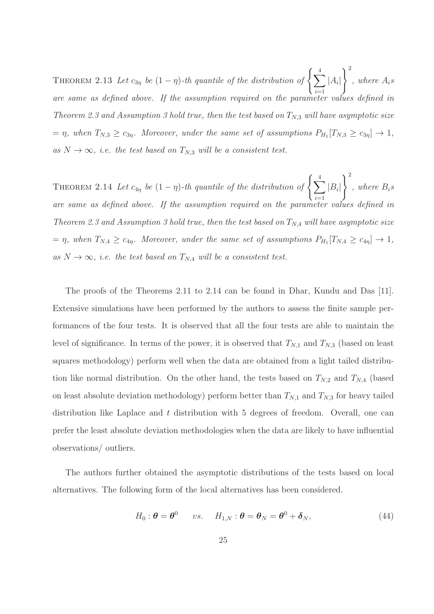THEOREM 2.13 Let  $c_{3\eta}$  be  $(1 - \eta)$ -th quantile of the distribution of  $\left\{ \sum_{i=1}^{4} \right\}$  $i=1$  $|A_i|$  $\big)$ <sup>2</sup>  $, where A<sub>i</sub>$ are same as defined above. If the assumption required on the parameter values defined in Theorem 2.3 and Assumption 3 hold true, then the test based on  $T_{N,3}$  will have asymptotic size  $=\eta$ , when  $T_{N,3} \geq c_{3\eta}$ . Moreover, under the same set of assumptions  $P_{H_1}[T_{N,3} \geq c_{3\eta}] \to 1$ , as  $N \to \infty$ , i.e. the test based on  $T_{N,3}$  will be a consistent test.

THEOREM 2.14 Let  $c_{4\eta}$  be  $(1 - \eta)$ -th quantile of the distribution of  $\left\{ \sum_{i=1}^{4} \right\}$  $i=1$  $|B_i|$  $\big)$ <sup>2</sup>  $, where B_i$ are same as defined above. If the assumption required on the parameter values defined in Theorem 2.3 and Assumption 3 hold true, then the test based on  $T_{N,4}$  will have asymptotic size  $=\eta$ , when  $T_{N,4} \geq c_{4\eta}$ . Moreover, under the same set of assumptions  $P_{H_1}[T_{N,4} \geq c_{4\eta}] \to 1$ , as  $N \to \infty$ , i.e. the test based on  $T_{N,4}$  will be a consistent test.

The proofs of the Theorems 2.11 to 2.14 can be found in Dhar, Kundu and Das [11]. Extensive simulations have been performed by the authors to assess the finite sample performances of the four tests. It is observed that all the four tests are able to maintain the level of significance. In terms of the power, it is observed that  $T_{N,1}$  and  $T_{N,3}$  (based on least squares methodology) perform well when the data are obtained from a light tailed distribution like normal distribution. On the other hand, the tests based on  $T_{N,2}$  and  $T_{N,4}$  (based on least absolute deviation methodology) perform better than  $T_{N,1}$  and  $T_{N,3}$  for heavy tailed distribution like Laplace and t distribution with 5 degrees of freedom. Overall, one can prefer the least absolute deviation methodologies when the data are likely to have influential observations/ outliers.

The authors further obtained the asymptotic distributions of the tests based on local alternatives. The following form of the local alternatives has been considered.

$$
H_0: \boldsymbol{\theta} = \boldsymbol{\theta}^0 \qquad vs. \qquad H_{1,N}: \boldsymbol{\theta} = \boldsymbol{\theta}_N = \boldsymbol{\theta}^0 + \boldsymbol{\delta}_N,\tag{44}
$$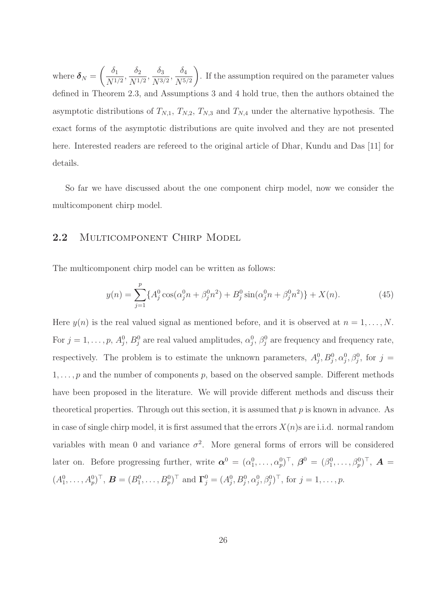where  $\boldsymbol{\delta}_N =$  $\int \delta_1$  $\frac{\delta_1}{N^{1/2}}, \frac{\delta_2}{N^{1/2}}$  $\frac{\delta_2}{N^{1/2}}, \frac{\delta_3}{N^{3/2}}$  $\frac{\delta_3}{N^{3/2}}, \frac{\delta_4}{N^{5/2}}$  $N^{5/2}$  $\setminus$ . If the assumption required on the parameter values defined in Theorem 2.3, and Assumptions 3 and 4 hold true, then the authors obtained the asymptotic distributions of  $T_{N,1}$ ,  $T_{N,2}$ ,  $T_{N,3}$  and  $T_{N,4}$  under the alternative hypothesis. The exact forms of the asymptotic distributions are quite involved and they are not presented here. Interested readers are refereed to the original article of Dhar, Kundu and Das [11] for details.

So far we have discussed about the one component chirp model, now we consider the multicomponent chirp model.

## 2.2 MULTICOMPONENT CHIRP MODEL

The multicomponent chirp model can be written as follows:

$$
y(n) = \sum_{j=1}^{p} \{A_j^0 \cos(\alpha_j^0 n + \beta_j^0 n^2) + B_j^0 \sin(\alpha_j^0 n + \beta_j^0 n^2)\} + X(n). \tag{45}
$$

Here  $y(n)$  is the real valued signal as mentioned before, and it is observed at  $n = 1, \ldots, N$ . For  $j = 1, \ldots, p$ ,  $A_j^0$ ,  $B_j^0$  are real valued amplitudes,  $\alpha_j^0$ ,  $\beta_j^0$  are frequency and frequency rate, respectively. The problem is to estimate the unknown parameters,  $A_j^0, B_j^0, \alpha_j^0, \beta_j^0$ , for  $j =$  $1, \ldots, p$  and the number of components p, based on the observed sample. Different methods have been proposed in the literature. We will provide different methods and discuss their theoretical properties. Through out this section, it is assumed that  $p$  is known in advance. As in case of single chirp model, it is first assumed that the errors  $X(n)$ s are i.i.d. normal random variables with mean 0 and variance  $\sigma^2$ . More general forms of errors will be considered later on. Before progressing further, write  $\boldsymbol{\alpha}^0 = (\alpha_1^0, \ldots, \alpha_p^0)^\top$ ,  $\boldsymbol{\beta}^0 = (\beta_1^0, \ldots, \beta_p^0)^\top$ ,  $\boldsymbol{A} =$  $(A_1^0, \ldots, A_p^0)^\top$ ,  $\mathbf{B} = (B_1^0, \ldots, B_p^0)^\top$  and  $\mathbf{\Gamma}_j^0 = (A_j^0, B_j^0, \alpha_j^0, \beta_j^0)^\top$ , for  $j = 1, \ldots, p$ .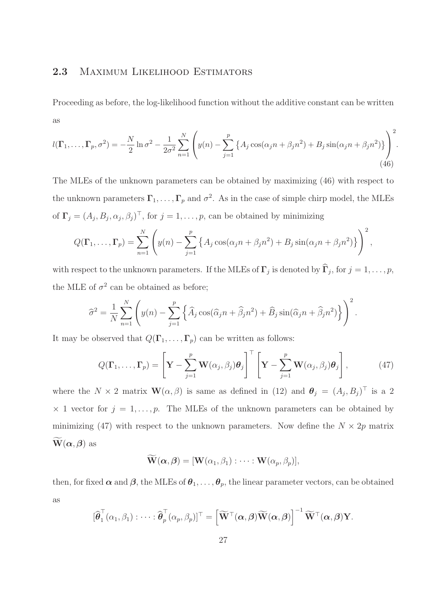# 2.3 MAXIMUM LIKELIHOOD ESTIMATORS

Proceeding as before, the log-likelihood function without the additive constant can be written as

$$
l(\Gamma_1, ..., \Gamma_p, \sigma^2) = -\frac{N}{2}\ln \sigma^2 - \frac{1}{2\sigma^2} \sum_{n=1}^N \left( y(n) - \sum_{j=1}^p \left\{ A_j \cos(\alpha_j n + \beta_j n^2) + B_j \sin(\alpha_j n + \beta_j n^2) \right\} \right)^2.
$$
\n(46)

The MLEs of the unknown parameters can be obtained by maximizing (46) with respect to the unknown parameters  $\Gamma_1, \ldots, \Gamma_p$  and  $\sigma^2$ . As in the case of simple chirp model, the MLEs of  $\Gamma_j = (A_j, B_j, \alpha_j, \beta_j)^\top$ , for  $j = 1, \ldots, p$ , can be obtained by minimizing

$$
Q(\mathbf{\Gamma}_1,\ldots,\mathbf{\Gamma}_p)=\sum_{n=1}^N\left(y(n)-\sum_{j=1}^p\left\{A_j\cos(\alpha_jn+\beta_jn^2)+B_j\sin(\alpha_jn+\beta_jn^2)\right\}\right)^2,
$$

with respect to the unknown parameters. If the MLEs of  $\Gamma_j$  is denoted by  $\Gamma_j$ , for  $j = 1, \ldots, p$ , the MLE of  $\sigma^2$  can be obtained as before;

$$
\widehat{\sigma}^2 = \frac{1}{N} \sum_{n=1}^N \left( y(n) - \sum_{j=1}^p \left\{ \widehat{A}_j \cos(\widehat{\alpha}_j n + \widehat{\beta}_j n^2) + \widehat{B}_j \sin(\widehat{\alpha}_j n + \widehat{\beta}_j n^2) \right\} \right)^2.
$$

It may be observed that  $Q(\Gamma_1, \ldots, \Gamma_p)$  can be written as follows:

$$
Q(\Gamma_1, \dots, \Gamma_p) = \left[ \mathbf{Y} - \sum_{j=1}^p \mathbf{W}(\alpha_j, \beta_j) \boldsymbol{\theta}_j \right]^\top \left[ \mathbf{Y} - \sum_{j=1}^p \mathbf{W}(\alpha_j, \beta_j) \boldsymbol{\theta}_j \right], \tag{47}
$$

where the  $N \times 2$  matrix  $\mathbf{W}(\alpha, \beta)$  is same as defined in (12) and  $\boldsymbol{\theta}_j = (A_j, B_j)^\top$  is a 2  $\times$  1 vector for  $j = 1, ..., p$ . The MLEs of the unknown parameters can be obtained by minimizing (47) with respect to the unknown parameters. Now define the  $N \times 2p$  matrix  $\widetilde{\mathbf{W}}(\alpha, \beta)$  as

$$
\widetilde{\mathbf{W}}(\boldsymbol{\alpha},\boldsymbol{\beta}) = [\mathbf{W}(\alpha_1,\beta_1):\cdots:\mathbf{W}(\alpha_p,\beta_p)],
$$

then, for fixed  $\alpha$  and  $\beta$ , the MLEs of  $\theta_1, \ldots, \theta_p$ , the linear parameter vectors, can be obtained as

$$
[\widehat{\boldsymbol{\theta}}_1^{\top}(\alpha_1,\beta_1) : \cdots : \widehat{\boldsymbol{\theta}}_p^{\top}(\alpha_p,\beta_p)]^{\top} = \left[\widetilde{\mathbf{W}}^{\top}(\boldsymbol{\alpha},\boldsymbol{\beta})\widetilde{\mathbf{W}}(\boldsymbol{\alpha},\boldsymbol{\beta})\right]^{-1}\widetilde{\mathbf{W}}^{\top}(\boldsymbol{\alpha},\boldsymbol{\beta})\mathbf{Y}.
$$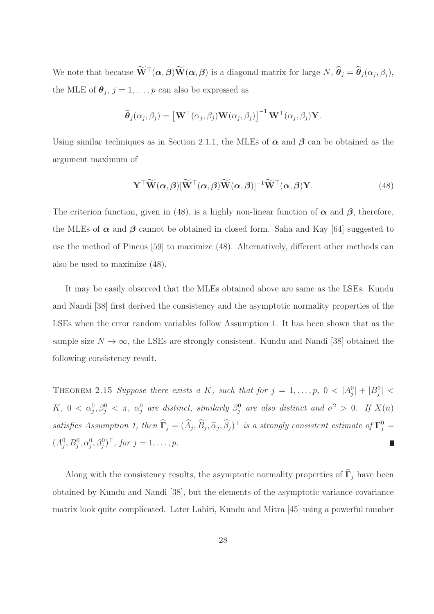We note that because  $\mathbf{W}^\top(\alpha, \beta) \mathbf{W}(\alpha, \beta)$  is a diagonal matrix for large N,  $\hat{\boldsymbol{\theta}}_j = \hat{\boldsymbol{\theta}}_j(\alpha_j, \beta_j)$ , the MLE of  $\boldsymbol{\theta}_j$ ,  $j = 1, \ldots, p$  can also be expressed as

$$
\widehat{\boldsymbol{\theta}}_j(\alpha_j, \beta_j) = \left[\mathbf{W}^{\top}(\alpha_j, \beta_j)\mathbf{W}(\alpha_j, \beta_j)\right]^{-1}\mathbf{W}^{\top}(\alpha_j, \beta_j)\mathbf{Y}.
$$

Using similar techniques as in Section 2.1.1, the MLEs of  $\alpha$  and  $\beta$  can be obtained as the argument maximum of

$$
\mathbf{Y}^{\top}\widetilde{\mathbf{W}}(\alpha,\beta)[\widetilde{\mathbf{W}}^{\top}(\alpha,\beta)\widetilde{\mathbf{W}}(\alpha,\beta)]^{-1}\widetilde{\mathbf{W}}^{\top}(\alpha,\beta)\mathbf{Y}.
$$
 (48)

The criterion function, given in (48), is a highly non-linear function of  $\alpha$  and  $\beta$ , therefore, the MLEs of  $\alpha$  and  $\beta$  cannot be obtained in closed form. Saha and Kay [64] suggested to use the method of Pincus [59] to maximize (48). Alternatively, different other methods can also be used to maximize (48).

It may be easily observed that the MLEs obtained above are same as the LSEs. Kundu and Nandi [38] first derived the consistency and the asymptotic normality properties of the LSEs when the error random variables follow Assumption 1. It has been shown that as the sample size  $N \to \infty$ , the LSEs are strongly consistent. Kundu and Nandi [38] obtained the following consistency result.

THEOREM 2.15 Suppose there exists a K, such that for  $j = 1, \ldots, p$ ,  $0 < |A_j^0| + |B_j^0| <$  $K, 0 < \alpha_j^0, \beta_j^0 < \pi, \ \alpha_j^0$  are distinct, similarly  $\beta_j^0$  are also distinct and  $\sigma^2 > 0$ . If  $X(n)$ satisfies Assumption 1, then  $\widehat{\Gamma}_j = (\widehat{A}_j, \widehat{B}_j, \widehat{\alpha}_j, \widehat{\beta}_j)^\top$  is a strongly consistent estimate of  $\Gamma^0_j =$  $(A_j^0, B_j^0, \alpha_j^0, \beta_j^0)^\top$ , for  $j = 1, \ldots, p$ .

Along with the consistency results, the asymptotic normality properties of  $\widehat{\Gamma}_j$  have been obtained by Kundu and Nandi [38], but the elements of the asymptotic variance covariance matrix look quite complicated. Later Lahiri, Kundu and Mitra [45] using a powerful number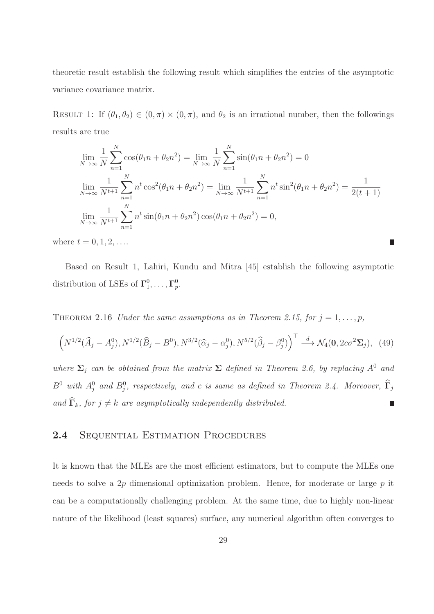theoretic result establish the following result which simplifies the entries of the asymptotic variance covariance matrix.

RESULT 1: If  $(\theta_1, \theta_2) \in (0, \pi) \times (0, \pi)$ , and  $\theta_2$  is an irrational number, then the followings results are true

$$
\lim_{N \to \infty} \frac{1}{N} \sum_{n=1}^{N} \cos(\theta_1 n + \theta_2 n^2) = \lim_{N \to \infty} \frac{1}{N} \sum_{n=1}^{N} \sin(\theta_1 n + \theta_2 n^2) = 0
$$
\n
$$
\lim_{N \to \infty} \frac{1}{N^{t+1}} \sum_{n=1}^{N} n^t \cos^2(\theta_1 n + \theta_2 n^2) = \lim_{N \to \infty} \frac{1}{N^{t+1}} \sum_{n=1}^{N} n^t \sin^2(\theta_1 n + \theta_2 n^2) = \frac{1}{2(t+1)}
$$
\n
$$
\lim_{N \to \infty} \frac{1}{N^{t+1}} \sum_{n=1}^{N} n^t \sin(\theta_1 n + \theta_2 n^2) \cos(\theta_1 n + \theta_2 n^2) = 0,
$$

П

where  $t = 0, 1, 2, ...$ 

Based on Result 1, Lahiri, Kundu and Mitra [45] establish the following asymptotic distribution of LSEs of  $\Gamma_1^0$  $\frac{0}{1}, \ldots, \Gamma_p^0$  $_{p}^{\mathrm{o}}$ .

THEOREM 2.16 Under the same assumptions as in Theorem 2.15, for  $j = 1, \ldots, p$ ,

$$
\left(N^{1/2}(\widehat{A}_j - A_j^0), N^{1/2}(\widehat{B}_j - B^0), N^{3/2}(\widehat{\alpha}_j - \alpha_j^0), N^{5/2}(\widehat{\beta}_j - \beta_j^0)\right)^{\top} \stackrel{d}{\longrightarrow} \mathcal{N}_4(\mathbf{0}, 2c\sigma^2 \Sigma_j), (49)
$$

where  $\Sigma_j$  can be obtained from the matrix  $\Sigma$  defined in Theorem 2.6, by replacing  $A^0$  and  $B^0$  with  $A_j^0$  and  $B_j^0$ , respectively, and c is same as defined in Theorem 2.4. Moreover,  $\widehat{\Gamma}_j$ and  $\widehat{\Gamma}_k$ , for  $j \neq k$  are asymptotically independently distributed. Π

# 2.4 SEQUENTIAL ESTIMATION PROCEDURES

It is known that the MLEs are the most efficient estimators, but to compute the MLEs one needs to solve a 2p dimensional optimization problem. Hence, for moderate or large  $p$  it can be a computationally challenging problem. At the same time, due to highly non-linear nature of the likelihood (least squares) surface, any numerical algorithm often converges to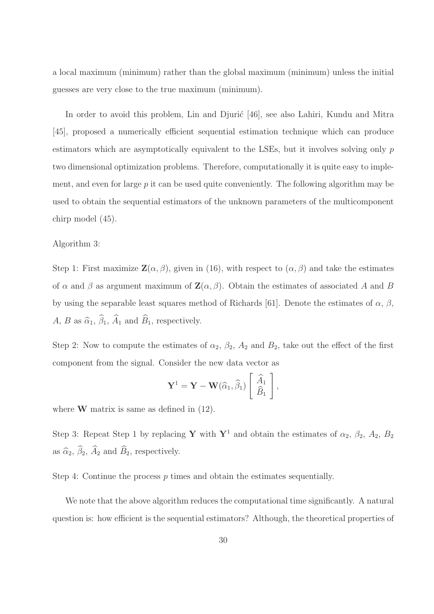a local maximum (minimum) rather than the global maximum (minimum) unless the initial guesses are very close to the true maximum (minimum).

In order to avoid this problem, Lin and Djurić [46], see also Lahiri, Kundu and Mitra [45], proposed a numerically efficient sequential estimation technique which can produce estimators which are asymptotically equivalent to the LSEs, but it involves solving only p two dimensional optimization problems. Therefore, computationally it is quite easy to implement, and even for large  $p$  it can be used quite conveniently. The following algorithm may be used to obtain the sequential estimators of the unknown parameters of the multicomponent chirp model (45).

#### Algorithm 3:

Step 1: First maximize  $\mathbf{Z}(\alpha, \beta)$ , given in (16), with respect to  $(\alpha, \beta)$  and take the estimates of  $\alpha$  and  $\beta$  as argument maximum of  $\mathbf{Z}(\alpha, \beta)$ . Obtain the estimates of associated A and B by using the separable least squares method of Richards [61]. Denote the estimates of  $\alpha$ ,  $\beta$ , A, B as  $\widehat{\alpha}_1$ ,  $\widehat{\beta}_1$ ,  $\widehat{A}_1$  and  $\widehat{B}_1$ , respectively.

Step 2: Now to compute the estimates of  $\alpha_2$ ,  $\beta_2$ ,  $A_2$  and  $B_2$ , take out the effect of the first component from the signal. Consider the new data vector as

$$
\mathbf{Y}^1 = \mathbf{Y} - \mathbf{W}(\widehat{\alpha}_1, \widehat{\beta}_1) \left[ \begin{array}{c} \widehat{A}_1 \\ \widehat{B}_1 \end{array} \right],
$$

where  $W$  matrix is same as defined in  $(12)$ .

Step 3: Repeat Step 1 by replacing Y with Y<sup>1</sup> and obtain the estimates of  $\alpha_2$ ,  $\beta_2$ ,  $A_2$ ,  $B_2$ as  $\widehat{\alpha}_2$ ,  $\widehat{\beta}_2$ ,  $\widehat{A}_2$  and  $\widehat{B}_2$ , respectively.

Step 4: Continue the process  $p$  times and obtain the estimates sequentially.

We note that the above algorithm reduces the computational time significantly. A natural question is: how efficient is the sequential estimators? Although, the theoretical properties of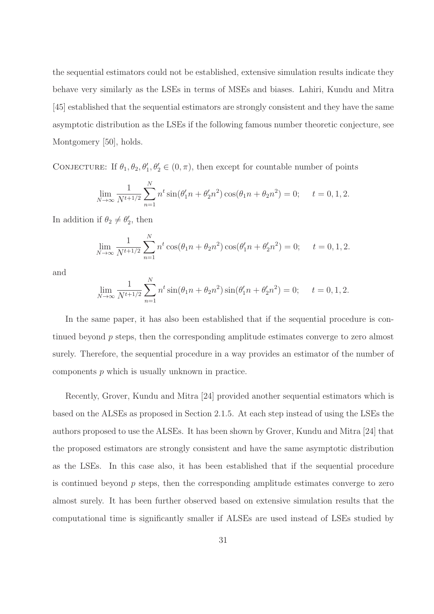the sequential estimators could not be established, extensive simulation results indicate they behave very similarly as the LSEs in terms of MSEs and biases. Lahiri, Kundu and Mitra [45] established that the sequential estimators are strongly consistent and they have the same asymptotic distribution as the LSEs if the following famous number theoretic conjecture, see Montgomery [50], holds.

CONJECTURE: If  $\theta_1, \theta_2, \theta'_1, \theta'_2 \in (0, \pi)$ , then except for countable number of points

$$
\lim_{N \to \infty} \frac{1}{N^{t+1/2}} \sum_{n=1}^{N} n^t \sin(\theta_1' n + \theta_2' n^2) \cos(\theta_1 n + \theta_2 n^2) = 0; \quad t = 0, 1, 2.
$$

In addition if  $\theta_2 \neq \theta'_2$ , then

$$
\lim_{N \to \infty} \frac{1}{N^{t+1/2}} \sum_{n=1}^{N} n^t \cos(\theta_1 n + \theta_2 n^2) \cos(\theta_1 n + \theta_2 n^2) = 0; \quad t = 0, 1, 2.
$$

and

$$
\lim_{N \to \infty} \frac{1}{N^{t+1/2}} \sum_{n=1}^{N} n^t \sin(\theta_1 n + \theta_2 n^2) \sin(\theta_1' n + \theta_2' n^2) = 0; \quad t = 0, 1, 2.
$$

In the same paper, it has also been established that if the sequential procedure is continued beyond p steps, then the corresponding amplitude estimates converge to zero almost surely. Therefore, the sequential procedure in a way provides an estimator of the number of components p which is usually unknown in practice.

Recently, Grover, Kundu and Mitra [24] provided another sequential estimators which is based on the ALSEs as proposed in Section 2.1.5. At each step instead of using the LSEs the authors proposed to use the ALSEs. It has been shown by Grover, Kundu and Mitra [24] that the proposed estimators are strongly consistent and have the same asymptotic distribution as the LSEs. In this case also, it has been established that if the sequential procedure is continued beyond  $p$  steps, then the corresponding amplitude estimates converge to zero almost surely. It has been further observed based on extensive simulation results that the computational time is significantly smaller if ALSEs are used instead of LSEs studied by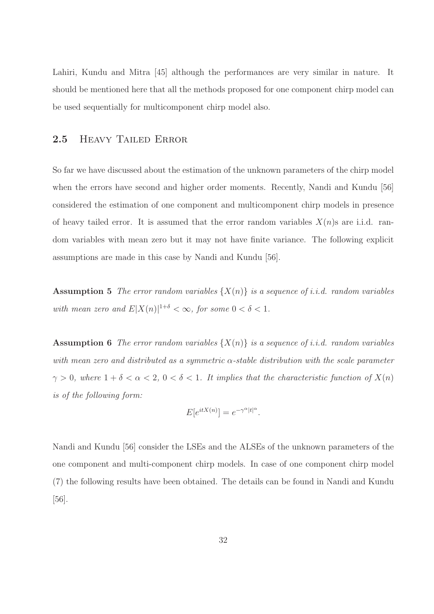Lahiri, Kundu and Mitra [45] although the performances are very similar in nature. It should be mentioned here that all the methods proposed for one component chirp model can be used sequentially for multicomponent chirp model also.

## 2.5 Heavy Tailed Error

So far we have discussed about the estimation of the unknown parameters of the chirp model when the errors have second and higher order moments. Recently, Nandi and Kundu [56] considered the estimation of one component and multicomponent chirp models in presence of heavy tailed error. It is assumed that the error random variables  $X(n)$ s are i.i.d. random variables with mean zero but it may not have finite variance. The following explicit assumptions are made in this case by Nandi and Kundu [56].

**Assumption 5** The error random variables  $\{X(n)\}\$ is a sequence of i.i.d. random variables with mean zero and  $E|X(n)|^{1+\delta} < \infty$ , for some  $0 < \delta < 1$ .

**Assumption 6** The error random variables  $\{X(n)\}\$ is a sequence of *i.i.d.* random variables with mean zero and distributed as a symmetric  $\alpha$ -stable distribution with the scale parameter  $\gamma > 0$ , where  $1 + \delta < \alpha < 2$ ,  $0 < \delta < 1$ . It implies that the characteristic function of  $X(n)$ is of the following form:

$$
E[e^{itX(n)}] = e^{-\gamma^{\alpha}|t|^{\alpha}}.
$$

Nandi and Kundu [56] consider the LSEs and the ALSEs of the unknown parameters of the one component and multi-component chirp models. In case of one component chirp model (7) the following results have been obtained. The details can be found in Nandi and Kundu [56].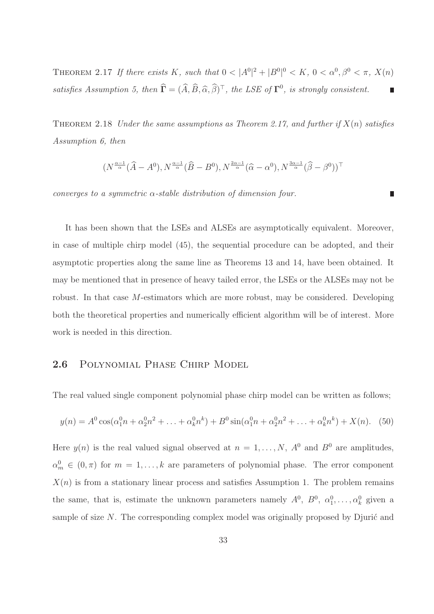THEOREM 2.17 If there exists K, such that  $0 < |A^0|^2 + |B^0|^0 < K$ ,  $0 < \alpha^0, \beta^0 < \pi$ ,  $X(n)$ satisfies Assumption 5, then  $\hat{\mathbf{\Gamma}} = (\hat{A}, \hat{B}, \hat{\alpha}, \hat{\beta})^{\top}$ , the LSE of  $\mathbf{\Gamma}^0$ , is strongly consistent. Π

THEOREM 2.18 Under the same assumptions as Theorem 2.17, and further if  $X(n)$  satisfies Assumption 6, then

$$
(N^{\frac{\alpha-1}{\alpha}}(\widehat{A}-A^0), N^{\frac{\alpha-1}{\alpha}}(\widehat{B}-B^0), N^{\frac{2\alpha-1}{\alpha}}(\widehat{\alpha}-\alpha^0), N^{\frac{3\alpha-1}{\alpha}}(\widehat{\beta}-\beta^0))^{\top}
$$

converges to a symmetric  $\alpha$ -stable distribution of dimension four.

It has been shown that the LSEs and ALSEs are asymptotically equivalent. Moreover, in case of multiple chirp model (45), the sequential procedure can be adopted, and their asymptotic properties along the same line as Theorems 13 and 14, have been obtained. It may be mentioned that in presence of heavy tailed error, the LSEs or the ALSEs may not be robust. In that case M-estimators which are more robust, may be considered. Developing both the theoretical properties and numerically efficient algorithm will be of interest. More work is needed in this direction.

# 2.6 Polynomial Phase Chirp Model

The real valued single component polynomial phase chirp model can be written as follows;

$$
y(n) = A^{0} \cos(\alpha_{1}^{0} n + \alpha_{2}^{0} n^{2} + \dots + \alpha_{k}^{0} n^{k}) + B^{0} \sin(\alpha_{1}^{0} n + \alpha_{2}^{0} n^{2} + \dots + \alpha_{k}^{0} n^{k}) + X(n). \tag{50}
$$

Here  $y(n)$  is the real valued signal observed at  $n = 1, ..., N$ ,  $A^0$  and  $B^0$  are amplitudes,  $\alpha_m^0 \in (0, \pi)$  for  $m = 1, \ldots, k$  are parameters of polynomial phase. The error component  $X(n)$  is from a stationary linear process and satisfies Assumption 1. The problem remains the same, that is, estimate the unknown parameters namely  $A^0$ ,  $B^0$ ,  $\alpha_1^0$ , ...,  $\alpha_k^0$  given a sample of size  $N$ . The corresponding complex model was originally proposed by Djurić and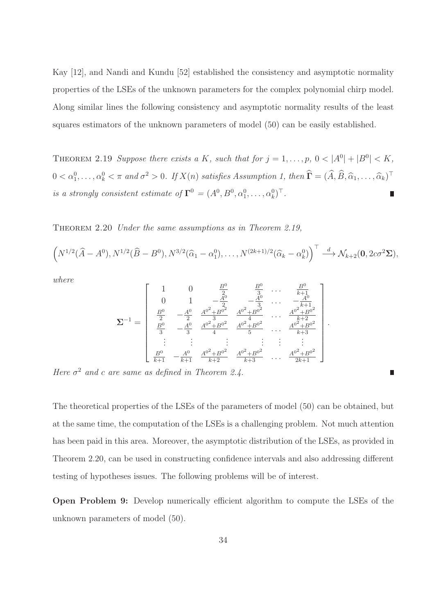Kay [12], and Nandi and Kundu [52] established the consistency and asymptotic normality properties of the LSEs of the unknown parameters for the complex polynomial chirp model. Along similar lines the following consistency and asymptotic normality results of the least squares estimators of the unknown parameters of model (50) can be easily established.

THEOREM 2.19 Suppose there exists a K, such that for  $j = 1, \ldots, p, 0 < |A^0| + |B^0| < K$ ,  $0 < \alpha_1^0, \ldots, \alpha_k^0 < \pi$  and  $\sigma^2 > 0$ . If  $X(n)$  satisfies Assumption 1, then  $\hat{\Gamma} = (\hat{A}, \hat{B}, \hat{\alpha}_1, \ldots, \hat{\alpha}_k)^{\top}$ is a strongly consistent estimate of  $\Gamma^0 = (A^0, B^0, \alpha_1^0, \dots, \alpha_k^0)^\top$ .

Theorem 2.20 Under the same assumptions as in Theorem 2.19,

$$
\left(N^{1/2}(\widehat{A}-A^{0}),N^{1/2}(\widehat{B}-B^{0}),N^{3/2}(\widehat{\alpha}_{1}-\alpha_{1}^{0}),\ldots,N^{(2k+1)/2}(\widehat{\alpha}_{k}-\alpha_{k}^{0})\right)^{\top}\stackrel{d}{\longrightarrow}\mathcal{N}_{k+2}(\mathbf{0},2c\sigma^{2}\Sigma),
$$

where

$$
\mathbf{\Sigma}^{-1} = \begin{bmatrix} 1 & 0 & \frac{B^0}{2} & \frac{B^0}{3} & \cdots & \frac{B^0}{k+1} \\ 0 & 1 & -\frac{A^0}{2} & -\frac{A^0}{3} & \cdots & -\frac{A^0}{k+1} \\ \frac{B^0}{2} & -\frac{A^0}{2} & \frac{A^{0^2} + B^{0^2}}{3} & \frac{A^{0^2} + B^{0^2}}{4} & \cdots & \frac{A^{0^2} + B^{0^2}}{k+2} \\ \frac{B^0}{3} & -\frac{A^0}{3} & \frac{A^{0^2} + B^{0^2}}{4} & \frac{A^{0^2} + B^{0^2}}{5} & \cdots & \frac{A^{0^2} + B^{0^2}}{k+3} \\ \vdots & \vdots & \vdots & \vdots & \vdots & \vdots \\ \frac{B^0}{k+1} & -\frac{A^0}{k+1} & \frac{A^{0^2} + B^{0^2}}{k+2} & \frac{A^{0^2} + B^{0^2}}{k+3} & \cdots & \frac{A^{0^2} + B^{0^2}}{2k+1} \end{bmatrix}
$$

.

Here  $\sigma^2$  and c are same as defined in Theorem 2.4.

The theoretical properties of the LSEs of the parameters of model (50) can be obtained, but at the same time, the computation of the LSEs is a challenging problem. Not much attention has been paid in this area. Moreover, the asymptotic distribution of the LSEs, as provided in Theorem 2.20, can be used in constructing confidence intervals and also addressing different testing of hypotheses issues. The following problems will be of interest.

Open Problem 9: Develop numerically efficient algorithm to compute the LSEs of the unknown parameters of model (50).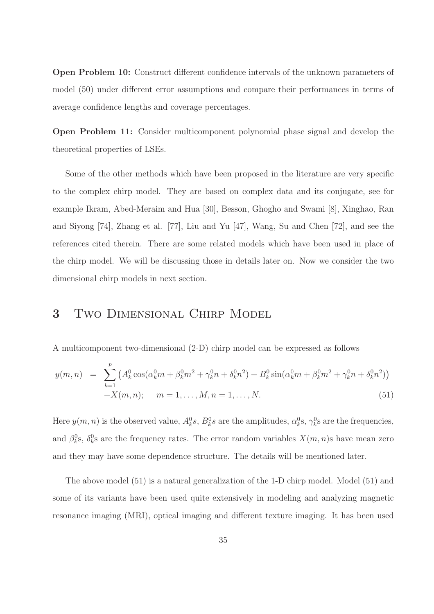Open Problem 10: Construct different confidence intervals of the unknown parameters of model (50) under different error assumptions and compare their performances in terms of average confidence lengths and coverage percentages.

Open Problem 11: Consider multicomponent polynomial phase signal and develop the theoretical properties of LSEs.

Some of the other methods which have been proposed in the literature are very specific to the complex chirp model. They are based on complex data and its conjugate, see for example Ikram, Abed-Meraim and Hua [30], Besson, Ghogho and Swami [8], Xinghao, Ran and Siyong [74], Zhang et al. [77], Liu and Yu [47], Wang, Su and Chen [72], and see the references cited therein. There are some related models which have been used in place of the chirp model. We will be discussing those in details later on. Now we consider the two dimensional chirp models in next section.

# 3 Two Dimensional Chirp Model

A multicomponent two-dimensional (2-D) chirp model can be expressed as follows

$$
y(m,n) = \sum_{k=1}^{p} \left( A_k^0 \cos(\alpha_k^0 m + \beta_k^0 m^2 + \gamma_k^0 n + \delta_k^0 n^2) + B_k^0 \sin(\alpha_k^0 m + \beta_k^0 m^2 + \gamma_k^0 n + \delta_k^0 n^2) \right) + X(m,n); \quad m = 1, ..., M, n = 1, ..., N.
$$
 (51)

Here  $y(m, n)$  is the observed value,  $A_k^0 s$ ,  $B_k^0 s$  are the amplitudes,  $\alpha_k^0 s$ ,  $\gamma_k^0 s$  are the frequencies, and  $\beta_k^0$ ,  $\delta_k^0$  are the frequency rates. The error random variables  $X(m, n)$ s have mean zero and they may have some dependence structure. The details will be mentioned later.

The above model (51) is a natural generalization of the 1-D chirp model. Model (51) and some of its variants have been used quite extensively in modeling and analyzing magnetic resonance imaging (MRI), optical imaging and different texture imaging. It has been used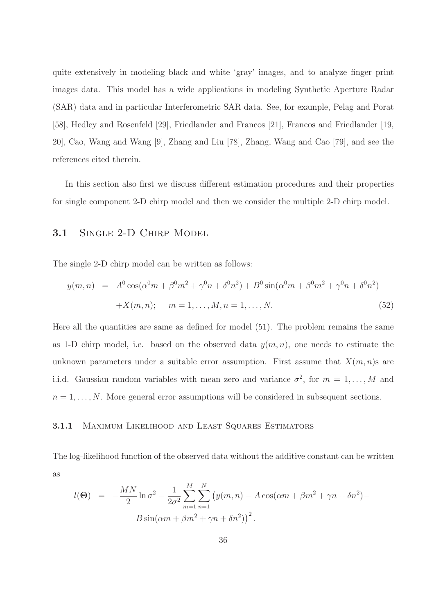quite extensively in modeling black and white 'gray' images, and to analyze finger print images data. This model has a wide applications in modeling Synthetic Aperture Radar (SAR) data and in particular Interferometric SAR data. See, for example, Pelag and Porat [58], Hedley and Rosenfeld [29], Friedlander and Francos [21], Francos and Friedlander [19, 20], Cao, Wang and Wang [9], Zhang and Liu [78], Zhang, Wang and Cao [79], and see the references cited therein.

In this section also first we discuss different estimation procedures and their properties for single component 2-D chirp model and then we consider the multiple 2-D chirp model.

## 3.1 SINGLE 2-D CHIRP MODEL

The single 2-D chirp model can be written as follows:

$$
y(m,n) = A^{0} \cos(\alpha^{0} m + \beta^{0} m^{2} + \gamma^{0} n + \delta^{0} n^{2}) + B^{0} \sin(\alpha^{0} m + \beta^{0} m^{2} + \gamma^{0} n + \delta^{0} n^{2})
$$
  
+ $X(m,n); \quad m = 1,..., M, n = 1,..., N.$  (52)

Here all the quantities are same as defined for model (51). The problem remains the same as 1-D chirp model, i.e. based on the observed data  $y(m, n)$ , one needs to estimate the unknown parameters under a suitable error assumption. First assume that  $X(m, n)$ s are i.i.d. Gaussian random variables with mean zero and variance  $\sigma^2$ , for  $m = 1, \ldots, M$  and  $n = 1, \ldots, N$ . More general error assumptions will be considered in subsequent sections.

#### 3.1.1 Maximum Likelihood and Least Squares Estimators

The log-likelihood function of the observed data without the additive constant can be written as

$$
l(\Theta) = -\frac{MN}{2}\ln \sigma^2 - \frac{1}{2\sigma^2} \sum_{m=1}^{M} \sum_{n=1}^{N} (y(m, n) - A\cos(\alpha m + \beta m^2 + \gamma n + \delta n^2) - B\sin(\alpha m + \beta m^2 + \gamma n + \delta n^2))^2.
$$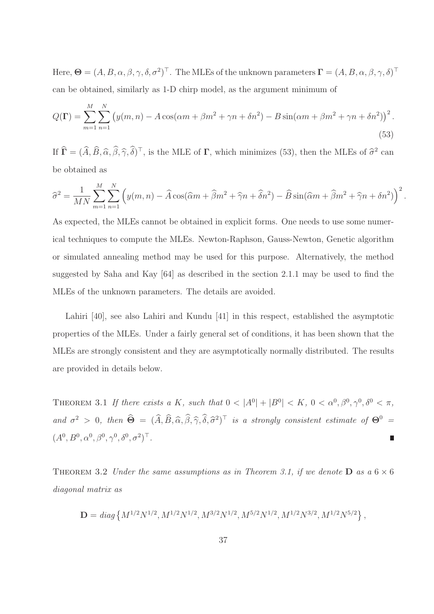Here,  $\mathbf{\Theta} = (A, B, \alpha, \beta, \gamma, \delta, \sigma^2)^\top$ . The MLEs of the unknown parameters  $\mathbf{\Gamma} = (A, B, \alpha, \beta, \gamma, \delta)^\top$ can be obtained, similarly as 1-D chirp model, as the argument minimum of

$$
Q(\Gamma) = \sum_{m=1}^{M} \sum_{n=1}^{N} \left( y(m,n) - A\cos(\alpha m + \beta m^2 + \gamma n + \delta n^2) - B\sin(\alpha m + \beta m^2 + \gamma n + \delta n^2) \right)^2.
$$
\n(53)

If  $\hat{\mathbf{\Gamma}} = (\hat{A}, \hat{B}, \hat{\alpha}, \hat{\beta}, \hat{\gamma}, \hat{\delta})^{\top}$ , is the MLE of  $\mathbf{\Gamma}$ , which minimizes (53), then the MLEs of  $\hat{\sigma}^2$  can be obtained as

$$
\widehat{\sigma}^2 = \frac{1}{MN} \sum_{m=1}^M \sum_{n=1}^N \left( y(m,n) - \widehat{A} \cos(\widehat{\alpha}m + \widehat{\beta}m^2 + \widehat{\gamma}n + \widehat{\delta}n^2) - \widehat{B} \sin(\widehat{\alpha}m + \widehat{\beta}m^2 + \widehat{\gamma}n + \delta n^2) \right)^2.
$$

As expected, the MLEs cannot be obtained in explicit forms. One needs to use some numerical techniques to compute the MLEs. Newton-Raphson, Gauss-Newton, Genetic algorithm or simulated annealing method may be used for this purpose. Alternatively, the method suggested by Saha and Kay [64] as described in the section 2.1.1 may be used to find the MLEs of the unknown parameters. The details are avoided.

Lahiri [40], see also Lahiri and Kundu [41] in this respect, established the asymptotic properties of the MLEs. Under a fairly general set of conditions, it has been shown that the MLEs are strongly consistent and they are asymptotically normally distributed. The results are provided in details below.

THEOREM 3.1 If there exists a K, such that  $0 < |A^0| + |B^0| < K$ ,  $0 < \alpha^0, \beta^0, \gamma^0, \delta^0 < \pi$ , and  $\sigma^2 > 0$ , then  $\hat{\Theta} = (\hat{A}, \hat{B}, \hat{\alpha}, \hat{\beta}, \hat{\gamma}, \hat{\delta}, \hat{\sigma}^2)^T$  is a strongly consistent estimate of  $\Theta^0 =$  $(A^0, B^0, \alpha^0, \beta^0, \gamma^0, \delta^0, \sigma^2)^\top.$ П

THEOREM 3.2 Under the same assumptions as in Theorem 3.1, if we denote  $\bf{D}$  as a 6  $\times$  6 diagonal matrix as

$$
\mathbf{D} = diag\left\{M^{1/2}N^{1/2}, M^{1/2}N^{1/2}, M^{3/2}N^{1/2}, M^{5/2}N^{1/2}, M^{1/2}N^{3/2}, M^{1/2}N^{5/2}\right\},\,
$$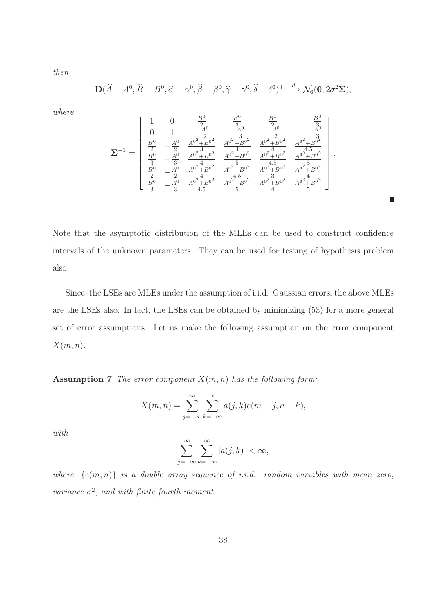then

$$
\mathbf{D}(\widehat{A}-A^0,\widehat{B}-B^0,\widehat{\alpha}-\alpha^0,\widehat{\beta}-\beta^0,\widehat{\gamma}-\gamma^0,\widehat{\delta}-\delta^0)^\top \stackrel{d}{\longrightarrow} \mathcal{N}_6(\mathbf{0},2\sigma^2\Sigma),
$$

where

$$
\pmb{\Sigma}^{-1} = \left[\begin{array}{cccccc} 1 & 0 & \frac{B^0}{2} & \frac{B^0}{3} & \frac{B^0}{2} & \frac{B^0}{3} \\ 0 & 1 & -\frac{A^0}{2} & -\frac{A^0}{3} & -\frac{A^0}{2} & -\frac{A^0}{3} \\ \frac{B^0}{2} & -\frac{A^0}{2} & \frac{A^{0^2} + B^{0^2}}{3} & \frac{A^{0^2} + B^{0^2}}{4} & \frac{A^{0^2} + B^{0^2}}{4} & \frac{A^{0^2} + B^{0^2}}{4.5} \\ \frac{B^0}{3} & -\frac{A^0}{3} & \frac{A^{0^2} + B^{0^2}}{4} & \frac{A^{0^2} + B^{0^2}}{4} & \frac{A^{0^2} + B^{0^2}}{4} & \frac{A^{0^2} + B^{0^2}}{4} & \frac{A^{0^2} + B^{0^2}}{4} \\ \frac{B^0}{2} & -\frac{A^0}{2} & \frac{A^{0^2} + B^{0^2}}{4.5} & \frac{A^{0^2} + B^{0^2}}{5} & \frac{A^{0^2} + B^{0^2}}{4} & \frac{A^{0^2} + B^{0^2}}{5} \end{array}\right].
$$

П

Note that the asymptotic distribution of the MLEs can be used to construct confidence intervals of the unknown parameters. They can be used for testing of hypothesis problem also.

Since, the LSEs are MLEs under the assumption of i.i.d. Gaussian errors, the above MLEs are the LSEs also. In fact, the LSEs can be obtained by minimizing (53) for a more general set of error assumptions. Let us make the following assumption on the error component  $X(m, n)$ .

**Assumption 7** The error component  $X(m, n)$  has the following form:

$$
X(m,n) = \sum_{j=-\infty}^{\infty} \sum_{k=-\infty}^{\infty} a(j,k)e(m-j,n-k),
$$

with

$$
\sum_{j=-\infty}^{\infty} \sum_{k=-\infty}^{\infty} |a(j,k)| < \infty,
$$

where,  $\{e(m,n)\}\$ is a double array sequence of i.i.d. random variables with mean zero, variance  $\sigma^2$ , and with finite fourth moment.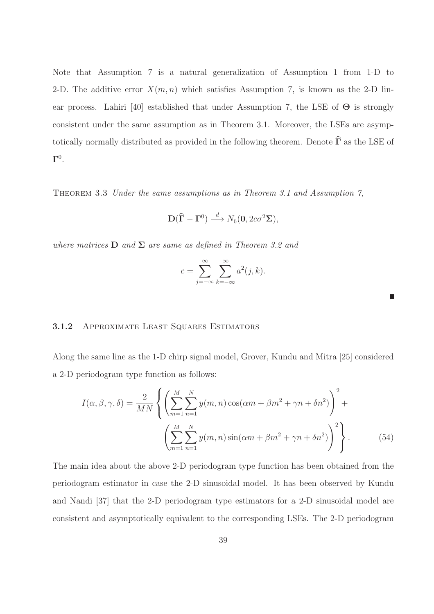Note that Assumption 7 is a natural generalization of Assumption 1 from 1-D to 2-D. The additive error  $X(m, n)$  which satisfies Assumption 7, is known as the 2-D linear process. Lahiri [40] established that under Assumption 7, the LSE of  $\Theta$  is strongly consistent under the same assumption as in Theorem 3.1. Moreover, the LSEs are asymptotically normally distributed as provided in the following theorem. Denote  $\widehat{\Gamma}$  as the LSE of  $\mathbf{\Gamma}^0.$ 

Theorem 3.3 Under the same assumptions as in Theorem 3.1 and Assumption 7,

$$
\mathbf{D}(\widehat{\boldsymbol{\Gamma}} - \boldsymbol{\Gamma}^0) \stackrel{d}{\longrightarrow} N_6(\mathbf{0}, 2c\sigma^2 \boldsymbol{\Sigma}),
$$

where matrices  $D$  and  $\Sigma$  are same as defined in Theorem 3.2 and

$$
c = \sum_{j=-\infty}^{\infty} \sum_{k=-\infty}^{\infty} a^2(j,k).
$$

#### 3.1.2 Approximate Least Squares Estimators

Along the same line as the 1-D chirp signal model, Grover, Kundu and Mitra [25] considered a 2-D periodogram type function as follows:

$$
I(\alpha, \beta, \gamma, \delta) = \frac{2}{MN} \left\{ \left( \sum_{m=1}^{M} \sum_{n=1}^{N} y(m, n) \cos(\alpha m + \beta m^2 + \gamma n + \delta n^2) \right)^2 + \left( \sum_{m=1}^{M} \sum_{n=1}^{N} y(m, n) \sin(\alpha m + \beta m^2 + \gamma n + \delta n^2) \right)^2 \right\}.
$$
 (54)

The main idea about the above 2-D periodogram type function has been obtained from the periodogram estimator in case the 2-D sinusoidal model. It has been observed by Kundu and Nandi [37] that the 2-D periodogram type estimators for a 2-D sinusoidal model are consistent and asymptotically equivalent to the corresponding LSEs. The 2-D periodogram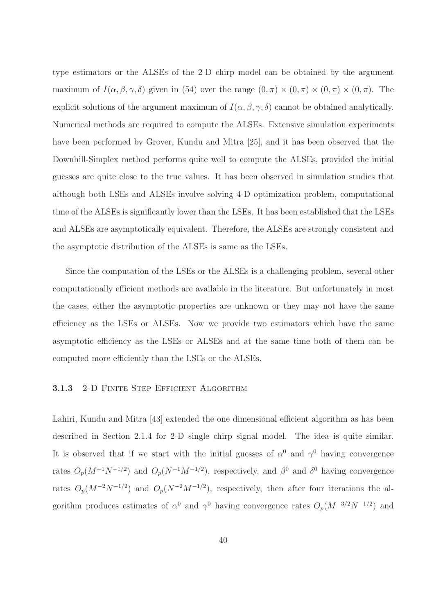type estimators or the ALSEs of the 2-D chirp model can be obtained by the argument maximum of  $I(\alpha, \beta, \gamma, \delta)$  given in (54) over the range  $(0, \pi) \times (0, \pi) \times (0, \pi) \times (0, \pi)$ . The explicit solutions of the argument maximum of  $I(\alpha, \beta, \gamma, \delta)$  cannot be obtained analytically. Numerical methods are required to compute the ALSEs. Extensive simulation experiments have been performed by Grover, Kundu and Mitra [25], and it has been observed that the Downhill-Simplex method performs quite well to compute the ALSEs, provided the initial guesses are quite close to the true values. It has been observed in simulation studies that although both LSEs and ALSEs involve solving 4-D optimization problem, computational time of the ALSEs is significantly lower than the LSEs. It has been established that the LSEs and ALSEs are asymptotically equivalent. Therefore, the ALSEs are strongly consistent and the asymptotic distribution of the ALSEs is same as the LSEs.

Since the computation of the LSEs or the ALSEs is a challenging problem, several other computationally efficient methods are available in the literature. But unfortunately in most the cases, either the asymptotic properties are unknown or they may not have the same efficiency as the LSEs or ALSEs. Now we provide two estimators which have the same asymptotic efficiency as the LSEs or ALSEs and at the same time both of them can be computed more efficiently than the LSEs or the ALSEs.

#### 3.1.3 2-D FINITE STEP EFFICIENT ALGORITHM

Lahiri, Kundu and Mitra [43] extended the one dimensional efficient algorithm as has been described in Section 2.1.4 for 2-D single chirp signal model. The idea is quite similar. It is observed that if we start with the initial guesses of  $\alpha^0$  and  $\gamma^0$  having convergence rates  $O_p(M^{-1}N^{-1/2})$  and  $O_p(N^{-1}M^{-1/2})$ , respectively, and  $\beta^0$  and  $\delta^0$  having convergence rates  $O_p(M^{-2}N^{-1/2})$  and  $O_p(N^{-2}M^{-1/2})$ , respectively, then after four iterations the algorithm produces estimates of  $\alpha^0$  and  $\gamma^0$  having convergence rates  $O_p(M^{-3/2}N^{-1/2})$  and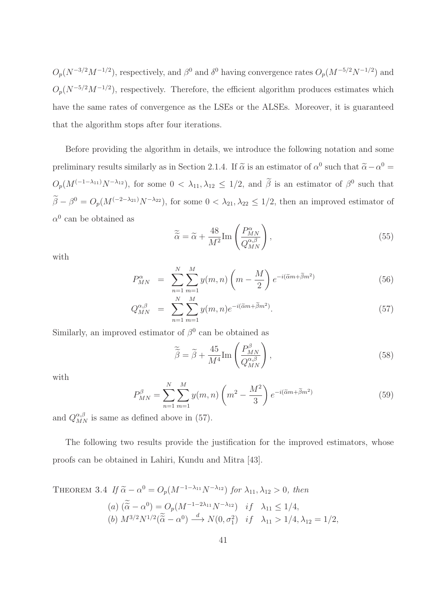$O_p(N^{-3/2}M^{-1/2})$ , respectively, and  $\beta^0$  and  $\delta^0$  having convergence rates  $O_p(M^{-5/2}N^{-1/2})$  and  $O_p(N^{-5/2}M^{-1/2})$ , respectively. Therefore, the efficient algorithm produces estimates which have the same rates of convergence as the LSEs or the ALSEs. Moreover, it is guaranteed that the algorithm stops after four iterations.

Before providing the algorithm in details, we introduce the following notation and some preliminary results similarly as in Section 2.1.4. If  $\tilde{\alpha}$  is an estimator of  $\alpha^0$  such that  $\tilde{\alpha} - \alpha^0 =$  $O_p(M^{(-1-\lambda_{11})}N^{-\lambda_{12}})$ , for some  $0<\lambda_{11},\lambda_{12}\leq 1/2$ , and  $\beta$  is an estimator of  $\beta^0$  such that  $\beta - \beta^0 = O_p(M^{(-2-\lambda_{21})}N^{-\lambda_{22}})$ , for some  $0 < \lambda_{21}, \lambda_{22} \le 1/2$ , then an improved estimator of  $\alpha^0$  can be obtained as

$$
\widetilde{\tilde{\alpha}} = \widetilde{\alpha} + \frac{48}{M^2} \text{Im} \left( \frac{P_{MN}^{\alpha}}{Q_{MN}^{\alpha,\beta}} \right),\tag{55}
$$

with

$$
P_{MN}^{\alpha} = \sum_{n=1}^{N} \sum_{m=1}^{M} y(m,n) \left( m - \frac{M}{2} \right) e^{-i(\tilde{\alpha}m + \tilde{\beta}m^2)} \tag{56}
$$

$$
Q_{MN}^{\alpha,\beta} = \sum_{n=1}^{N} \sum_{m=1}^{M} y(m,n) e^{-i(\tilde{\alpha}m + \tilde{\beta}m^2)}.
$$
\n(57)

Similarly, an improved estimator of  $\beta^0$  can be obtained as

$$
\widetilde{\widetilde{\beta}} = \widetilde{\beta} + \frac{45}{M^4} \text{Im} \left( \frac{P_{MN}^{\beta}}{Q_{MN}^{\alpha,\beta}} \right),\tag{58}
$$

with

$$
P_{MN}^{\beta} = \sum_{n=1}^{N} \sum_{m=1}^{M} y(m,n) \left( m^2 - \frac{M^2}{3} \right) e^{-i(\tilde{\alpha}m + \tilde{\beta}m^2)}
$$
(59)

and  $Q_{MN}^{\alpha,\beta}$  is same as defined above in (57).

The following two results provide the justification for the improved estimators, whose proofs can be obtained in Lahiri, Kundu and Mitra [43].

THEOREM 3.4 If 
$$
\tilde{\alpha} - \alpha^0 = O_p(M^{-1-\lambda_{11}}N^{-\lambda_{12}})
$$
 for  $\lambda_{11}, \lambda_{12} > 0$ , then  
\n(a)  $(\tilde{\alpha} - \alpha^0) = O_p(M^{-1-2\lambda_{11}}N^{-\lambda_{12}})$  if  $\lambda_{11} \le 1/4$ ,  
\n(b)  $M^{3/2}N^{1/2}(\tilde{\alpha} - \alpha^0) \xrightarrow{d} N(0, \sigma_1^2)$  if  $\lambda_{11} > 1/4, \lambda_{12} = 1/2$ ,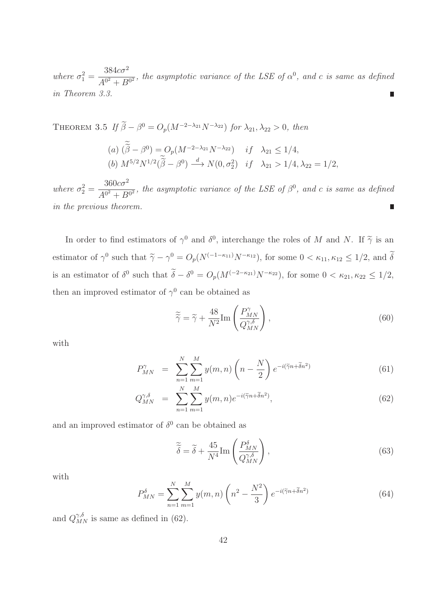where  $\sigma_1^2 =$  $384c\sigma^2$  $\frac{\partial G_1}{\partial t^0}$ , the asymptotic variance of the LSE of  $\alpha^0$ , and c is same as defined in Theorem 3.3.

THEOREM 3.5 If  $\beta - \beta^0 = O_p(M^{-2-\lambda_{21}}N^{-\lambda_{22}})$  for  $\lambda_{21}, \lambda_{22} > 0$ , then

(a) 
$$
(\tilde{\beta} - \beta^0) = O_p(M^{-2-\lambda_{21}}N^{-\lambda_{22}})
$$
 if  $\lambda_{21} \le 1/4$ ,  
\n(b)  $M^{5/2}N^{1/2}(\tilde{\tilde{\beta}} - \beta^0) \stackrel{d}{\longrightarrow} N(0, \sigma_2^2)$  if  $\lambda_{21} > 1/4, \lambda_{22} = 1/2$ ,

where  $\sigma_2^2 =$  $360c\sigma^2$  $\frac{30000}{A^{0^2} + B^{0^2}}$ , the asymptotic variance of the LSE of  $\beta^0$ , and c is same as defined in the previous theorem.

In order to find estimators of  $\gamma^0$  and  $\delta^0$ , interchange the roles of M and N. If  $\tilde{\gamma}$  is an estimator of  $\gamma^0$  such that  $\tilde{\gamma} - \gamma^0 = O_p(N^{(-1-\kappa_{11})}N^{-\kappa_{12}})$ , for some  $0 < \kappa_{11}, \kappa_{12} \le 1/2$ , and  $\delta$ is an estimator of  $\delta^0$  such that  $\delta - \delta^0 = O_p(M^{(-2-\kappa_{21})}N^{-\kappa_{22}})$ , for some  $0 < \kappa_{21}, \kappa_{22} \le 1/2$ , then an improved estimator of  $\gamma^0$  can be obtained as

$$
\widetilde{\widetilde{\gamma}} = \widetilde{\gamma} + \frac{48}{N^2} \text{Im} \left( \frac{P_{MN}^{\gamma}}{Q_{MN}^{\gamma,\delta}} \right),\tag{60}
$$

with

$$
P_{MN}^{\gamma} = \sum_{n=1}^{N} \sum_{m=1}^{M} y(m,n) \left(n - \frac{N}{2}\right) e^{-i(\tilde{\gamma}n + \tilde{\delta}n^2)} \tag{61}
$$

$$
Q_{MN}^{\gamma,\delta} = \sum_{n=1}^{N} \sum_{m=1}^{M} y(m,n) e^{-i(\tilde{\gamma}n + \tilde{\delta}n^2)}, \qquad (62)
$$

and an improved estimator of  $\delta^0$  can be obtained as

$$
\widetilde{\widetilde{\delta}} = \widetilde{\delta} + \frac{45}{N^4} \text{Im} \left( \frac{P_{MN}^{\delta}}{Q_{MN}^{\gamma,\delta}} \right),\tag{63}
$$

with

$$
P_{MN}^{\delta} = \sum_{n=1}^{N} \sum_{m=1}^{M} y(m,n) \left( n^2 - \frac{N^2}{3} \right) e^{-i(\tilde{\gamma}n + \tilde{\delta}n^2)}
$$
(64)

and  $Q_{MN}^{\gamma,\delta}$  is same as defined in (62).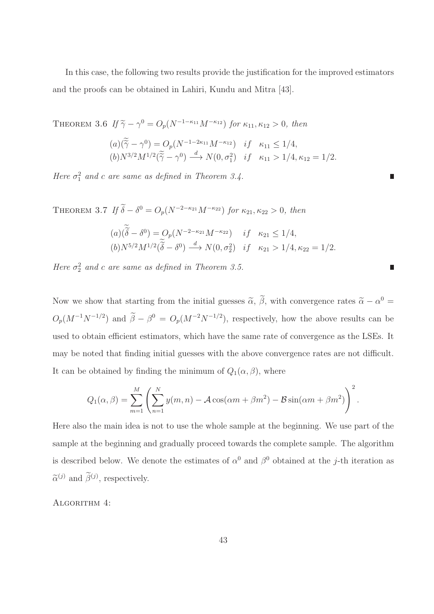In this case, the following two results provide the justification for the improved estimators and the proofs can be obtained in Lahiri, Kundu and Mitra [43].

THEOREM 3.6 If  $\widetilde{\gamma} - \gamma^0 = O_p(N^{-1-\kappa_{11}}M^{-\kappa_{12}})$  for  $\kappa_{11}, \kappa_{12} > 0$ , then  $(a)(\widetilde{\gamma}-\gamma^0)=O_p(N^{-1-2\kappa_{11}}M^{-\kappa_{12}})$  if  $\kappa_{11}\leq 1/4,$  $(b) N^{3/2} M^{1/2}(\tilde{\tilde{\gamma}} - \gamma^0) \stackrel{d}{\longrightarrow} N(0, \sigma_1^2)$  if  $\kappa_{11} > 1/4, \kappa_{12} = 1/2$ .

Here  $\sigma_1^2$  and c are same as defined in Theorem 3.4.

THEOREM 3.7 If  $\delta - \delta^0 = O_p(N^{-2-\kappa_{21}}M^{-\kappa_{22}})$  for  $\kappa_{21}, \kappa_{22} > 0$ , then

$$
(a)(\widetilde{\delta} - \delta^0) = O_p(N^{-2-\kappa_{21}}M^{-\kappa_{22}}) \quad if \quad \kappa_{21} \le 1/4,
$$
  
\n
$$
(b)N^{5/2}M^{1/2}(\widetilde{\delta} - \delta^0) \stackrel{d}{\longrightarrow} N(0, \sigma_2^2) \quad if \quad \kappa_{21} > 1/4, \kappa_{22} = 1/2.
$$

Here  $\sigma_2^2$  and c are same as defined in Theorem 3.5.

Now we show that starting from the initial guesses  $\tilde{\alpha}$ ,  $\tilde{\beta}$ , with convergence rates  $\tilde{\alpha} - \alpha^0 =$  $O_p(M^{-1}N^{-1/2})$  and  $\tilde{\beta} - \beta^0 = O_p(M^{-2}N^{-1/2})$ , respectively, how the above results can be used to obtain efficient estimators, which have the same rate of convergence as the LSEs. It may be noted that finding initial guesses with the above convergence rates are not difficult. It can be obtained by finding the minimum of  $Q_1(\alpha, \beta)$ , where

$$
Q_1(\alpha, \beta) = \sum_{m=1}^{M} \left( \sum_{n=1}^{N} y(m, n) - A \cos(\alpha m + \beta m^2) - B \sin(\alpha m + \beta m^2) \right)^2.
$$

Here also the main idea is not to use the whole sample at the beginning. We use part of the sample at the beginning and gradually proceed towards the complete sample. The algorithm is described below. We denote the estimates of  $\alpha^0$  and  $\beta^0$  obtained at the j-th iteration as  $\tilde{\alpha}^{(j)}$  and  $\beta^{(j)}$ , respectively.

ALGORITHM 4: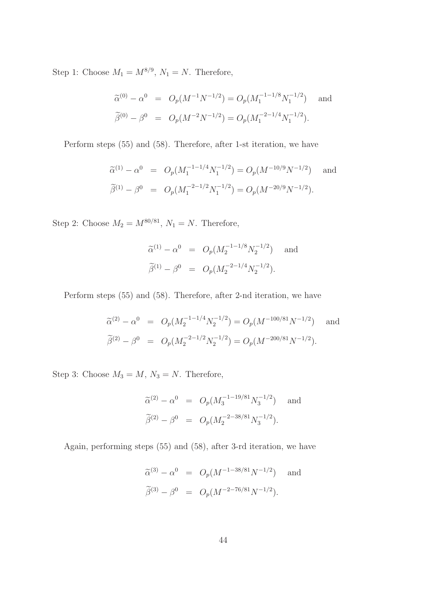Step 1: Choose  $M_1 = M^{8/9}$ ,  $N_1 = N$ . Therefore,

$$
\widetilde{\alpha}^{(0)} - \alpha^0 = O_p(M^{-1}N^{-1/2}) = O_p(M_1^{-1-1/8}N_1^{-1/2}) \text{ and}
$$
  

$$
\widetilde{\beta}^{(0)} - \beta^0 = O_p(M^{-2}N^{-1/2}) = O_p(M_1^{-2-1/4}N_1^{-1/2}).
$$

Perform steps (55) and (58). Therefore, after 1-st iteration, we have

$$
\widetilde{\alpha}^{(1)} - \alpha^0 = O_p(M_1^{-1-1/4} N_1^{-1/2}) = O_p(M^{-10/9} N^{-1/2}) \text{ and}
$$
  

$$
\widetilde{\beta}^{(1)} - \beta^0 = O_p(M_1^{-2-1/2} N_1^{-1/2}) = O_p(M^{-20/9} N^{-1/2}).
$$

Step 2: Choose  $M_2 = M^{80/81}$ ,  $N_1 = N$ . Therefore,

$$
\widetilde{\alpha}^{(1)} - \alpha^0 = O_p(M_2^{-1-1/8} N_2^{-1/2}) \text{ and}
$$
  

$$
\widetilde{\beta}^{(1)} - \beta^0 = O_p(M_2^{-2-1/4} N_2^{-1/2}).
$$

Perform steps (55) and (58). Therefore, after 2-nd iteration, we have

$$
\widetilde{\alpha}^{(2)} - \alpha^0 = O_p(M_2^{-1-1/4} N_2^{-1/2}) = O_p(M^{-100/81} N^{-1/2}) \text{ and}
$$
  

$$
\widetilde{\beta}^{(2)} - \beta^0 = O_p(M_2^{-2-1/2} N_2^{-1/2}) = O_p(M^{-200/81} N^{-1/2}).
$$

Step 3: Choose  $M_3 = M$ ,  $N_3 = N$ . Therefore,

$$
\widetilde{\alpha}^{(2)} - \alpha^0 = O_p(M_3^{-1-19/81} N_3^{-1/2}) \text{ and}
$$
  

$$
\widetilde{\beta}^{(2)} - \beta^0 = O_p(M_2^{-2-38/81} N_3^{-1/2}).
$$

Again, performing steps (55) and (58), after 3-rd iteration, we have

$$
\widetilde{\alpha}^{(3)} - \alpha^0 = O_p(M^{-1-38/81}N^{-1/2}) \text{ and}
$$
  

$$
\widetilde{\beta}^{(3)} - \beta^0 = O_p(M^{-2-76/81}N^{-1/2}).
$$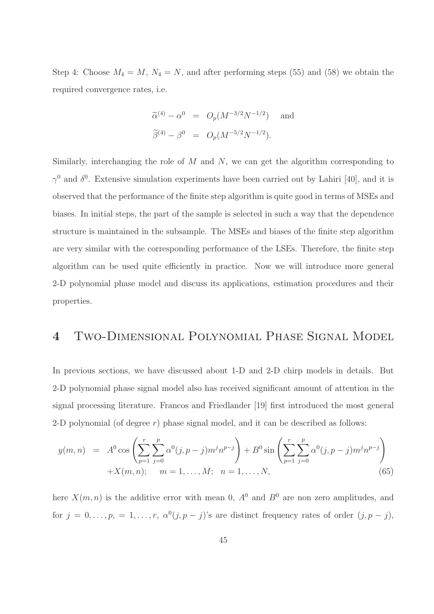Step 4: Choose  $M_4 = M$ ,  $N_4 = N$ , and after performing steps (55) and (58) we obtain the required convergence rates, i.e.

$$
\widetilde{\alpha}^{(4)} - \alpha^0 = O_p(M^{-3/2}N^{-1/2}) \text{ and}
$$
  

$$
\widetilde{\beta}^{(4)} - \beta^0 = O_p(M^{-5/2}N^{-1/2}).
$$

Similarly, interchanging the role of  $M$  and  $N$ , we can get the algorithm corresponding to  $\gamma^0$  and  $\delta^0$ . Extensive simulation experiments have been carried out by Lahiri [40], and it is observed that the performance of the finite step algorithm is quite good in terms of MSEs and biases. In initial steps, the part of the sample is selected in such a way that the dependence structure is maintained in the subsample. The MSEs and biases of the finite step algorithm are very similar with the corresponding performance of the LSEs. Therefore, the finite step algorithm can be used quite efficiently in practice. Now we will introduce more general 2-D polynomial phase model and discuss its applications, estimation procedures and their properties.

# 4 Two-Dimensional Polynomial Phase Signal Model

In previous sections, we have discussed about 1-D and 2-D chirp models in details. But 2-D polynomial phase signal model also has received significant amount of attention in the signal processing literature. Francos and Friedlander [19] first introduced the most general 2-D polynomial (of degree  $r$ ) phase signal model, and it can be described as follows:

$$
y(m,n) = A^0 \cos\left(\sum_{p=1}^r \sum_{j=0}^p \alpha^0(j, p-j) m^j n^{p-j}\right) + B^0 \sin\left(\sum_{p=1}^r \sum_{j=0}^p \alpha^0(j, p-j) m^j n^{p-j}\right) + X(m,n); \quad m = 1, ..., M; \quad n = 1, ..., N,
$$
\n(65)

here  $X(m, n)$  is the additive error with mean 0,  $A^{0}$  and  $B^{0}$  are non zero amplitudes, and for  $j = 0, \ldots, p, = 1, \ldots, r, \alpha^{0}(j, p - j)$ 's are distinct frequency rates of order  $(j, p - j)$ ,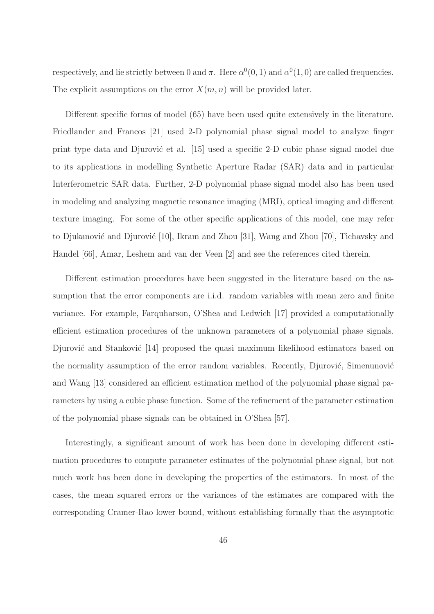respectively, and lie strictly between 0 and  $\pi$ . Here  $\alpha^{0}(0, 1)$  and  $\alpha^{0}(1, 0)$  are called frequencies. The explicit assumptions on the error  $X(m, n)$  will be provided later.

Different specific forms of model (65) have been used quite extensively in the literature. Friedlander and Francos [21] used 2-D polynomial phase signal model to analyze finger print type data and Djurović et al. [15] used a specific 2-D cubic phase signal model due to its applications in modelling Synthetic Aperture Radar (SAR) data and in particular Interferometric SAR data. Further, 2-D polynomial phase signal model also has been used in modeling and analyzing magnetic resonance imaging (MRI), optical imaging and different texture imaging. For some of the other specific applications of this model, one may refer to Djukanović and Djurović [10], Ikram and Zhou [31], Wang and Zhou [70], Tichavsky and Handel [66], Amar, Leshem and van der Veen [2] and see the references cited therein.

Different estimation procedures have been suggested in the literature based on the assumption that the error components are i.i.d. random variables with mean zero and finite variance. For example, Farquharson, O'Shea and Ledwich [17] provided a computationally efficient estimation procedures of the unknown parameters of a polynomial phase signals. Djurović and Stanković [14] proposed the quasi maximum likelihood estimators based on the normality assumption of the error random variables. Recently, Djurović, Simenunović and Wang [13] considered an efficient estimation method of the polynomial phase signal parameters by using a cubic phase function. Some of the refinement of the parameter estimation of the polynomial phase signals can be obtained in O'Shea [57].

Interestingly, a significant amount of work has been done in developing different estimation procedures to compute parameter estimates of the polynomial phase signal, but not much work has been done in developing the properties of the estimators. In most of the cases, the mean squared errors or the variances of the estimates are compared with the corresponding Cramer-Rao lower bound, without establishing formally that the asymptotic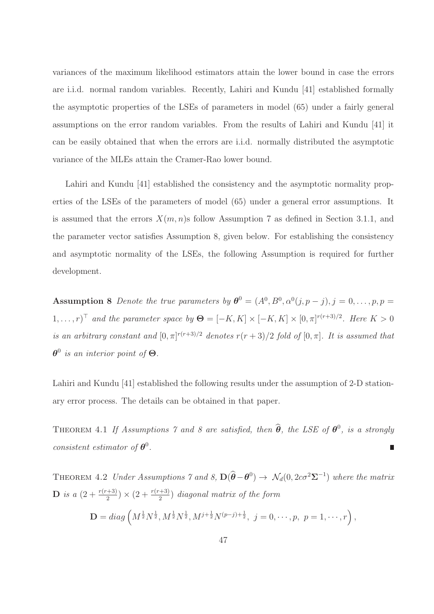variances of the maximum likelihood estimators attain the lower bound in case the errors are i.i.d. normal random variables. Recently, Lahiri and Kundu [41] established formally the asymptotic properties of the LSEs of parameters in model (65) under a fairly general assumptions on the error random variables. From the results of Lahiri and Kundu [41] it can be easily obtained that when the errors are i.i.d. normally distributed the asymptotic variance of the MLEs attain the Cramer-Rao lower bound.

Lahiri and Kundu [41] established the consistency and the asymptotic normality properties of the LSEs of the parameters of model (65) under a general error assumptions. It is assumed that the errors  $X(m, n)$ s follow Assumption 7 as defined in Section 3.1.1, and the parameter vector satisfies Assumption 8, given below. For establishing the consistency and asymptotic normality of the LSEs, the following Assumption is required for further development.

**Assumption 8** Denote the true parameters by  $\boldsymbol{\theta}^0 = (A^0, B^0, \alpha^0(j, p - j), j = 0, \ldots, p, p =$  $[1, \ldots, r]$ <sup>T</sup> and the parameter space by  $\Theta = [-K, K] \times [-K, K] \times [0, \pi]^{r(r+3)/2}$ . Here  $K > 0$ is an arbitrary constant and  $[0, \pi]^{r(r+3)/2}$  denotes  $r(r+3)/2$  fold of  $[0, \pi]$ . It is assumed that  $\theta^0$  is an interior point of  $\Theta$ .

Lahiri and Kundu [41] established the following results under the assumption of 2-D stationary error process. The details can be obtained in that paper.

THEOREM 4.1 If Assumptions 7 and 8 are satisfied, then  $\widehat{\theta}$ , the LSE of  $\theta^0$ , is a strongly consistent estimator of  $\theta^0$ . П

THEOREM 4.2 Under Assumptions 7 and 8,  $\mathbf{D}(\widehat{\theta}-\theta^0) \to \mathcal{N}_d(0, 2c\sigma^2\Sigma^{-1})$  where the matrix **D** is a  $\left(2+\frac{r(r+3)}{2}\right) \times \left(2+\frac{r(r+3)}{2}\right)$  diagonal matrix of the form  $\mathbf{D} = diag\left(M^{\frac{1}{2}}N^{\frac{1}{2}}, M^{\frac{1}{2}}N^{\frac{1}{2}}, M^{j+\frac{1}{2}}N^{(p-j)+\frac{1}{2}}, \ j = 0, \cdots, p, \ p = 1, \cdots, r\right),$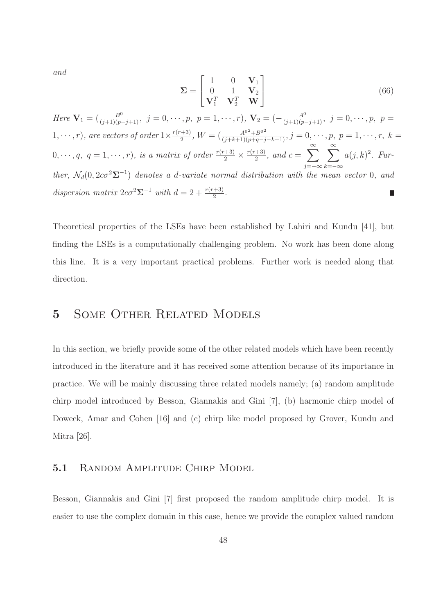and

$$
\Sigma = \begin{bmatrix} 1 & 0 & \mathbf{V}_1 \\ 0 & 1 & \mathbf{V}_2 \\ \mathbf{V}_1^T & \mathbf{V}_2^T & \mathbf{W} \end{bmatrix}
$$
 (66)

Here  $\mathbf{V}_1 = \left( \frac{B^0}{(j+1)(p-j+1)}, \ j=0,\cdots,p, \ p=1,\cdots,r \right)$ ,  $\mathbf{V}_2 = \left( -\frac{A^0}{(j+1)(p-j+1)}, \ j=0,\cdots,p, \ p=1,\cdots,r \right)$  $\frac{1}{2}^{(n+3)}$ ,  $W = \left(\frac{A^{0^2} + B^{0^2}}{(j+k+1)(p+q-j-k+1)}, j = 0, \dots, p, p = 1, \dots, r, k = 1$  $1, \cdots, r$ , are vectors of order  $1 \times \frac{r(r+3)}{2}$  $\frac{a+3}{2}$ , and  $c = \sum^{\infty}$  $\sum^{\infty}$  $0, \cdots, q, q = 1, \cdots, r$ , is a matrix of order  $\frac{r(r+3)}{2} \times \frac{r(r+3)}{2}$  $a(j,k)^2$ . Furj=−∞  $k=-\infty$ ther,  $\mathcal{N}_d(0, 2c\sigma^2\Sigma^{-1})$  denotes a d-variate normal distribution with the mean vector 0, and dispersion matrix  $2c\sigma^2\Sigma^{-1}$  with  $d=2+\frac{r(r+3)}{2}$ . П

Theoretical properties of the LSEs have been established by Lahiri and Kundu [41], but finding the LSEs is a computationally challenging problem. No work has been done along this line. It is a very important practical problems. Further work is needed along that direction.

# 5 Some Other Related Models

In this section, we briefly provide some of the other related models which have been recently introduced in the literature and it has received some attention because of its importance in practice. We will be mainly discussing three related models namely; (a) random amplitude chirp model introduced by Besson, Giannakis and Gini [7], (b) harmonic chirp model of Doweck, Amar and Cohen [16] and (c) chirp like model proposed by Grover, Kundu and Mitra [26].

### 5.1 RANDOM AMPLITUDE CHIRP MODEL

Besson, Giannakis and Gini [7] first proposed the random amplitude chirp model. It is easier to use the complex domain in this case, hence we provide the complex valued random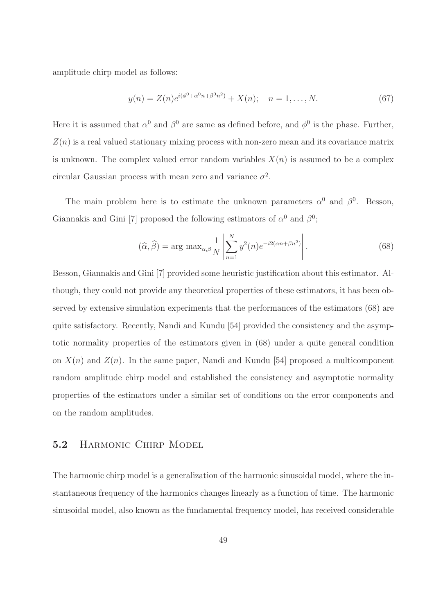amplitude chirp model as follows:

$$
y(n) = Z(n)e^{i(\phi^0 + \alpha^0 n + \beta^0 n^2)} + X(n); \quad n = 1, ..., N.
$$
 (67)

Here it is assumed that  $\alpha^0$  and  $\beta^0$  are same as defined before, and  $\phi^0$  is the phase. Further,  $Z(n)$  is a real valued stationary mixing process with non-zero mean and its covariance matrix is unknown. The complex valued error random variables  $X(n)$  is assumed to be a complex circular Gaussian process with mean zero and variance  $\sigma^2$ .

The main problem here is to estimate the unknown parameters  $\alpha^0$  and  $\beta^0$ . Besson, Giannakis and Gini [7] proposed the following estimators of  $\alpha^0$  and  $\beta^0$ ;

$$
(\widehat{\alpha}, \widehat{\beta}) = \arg \max_{\alpha, \beta} \frac{1}{N} \left| \sum_{n=1}^{N} y^2(n) e^{-i2(\alpha n + \beta n^2)} \right|.
$$
 (68)

Besson, Giannakis and Gini [7] provided some heuristic justification about this estimator. Although, they could not provide any theoretical properties of these estimators, it has been observed by extensive simulation experiments that the performances of the estimators (68) are quite satisfactory. Recently, Nandi and Kundu [54] provided the consistency and the asymptotic normality properties of the estimators given in (68) under a quite general condition on  $X(n)$  and  $Z(n)$ . In the same paper, Nandi and Kundu [54] proposed a multicomponent random amplitude chirp model and established the consistency and asymptotic normality properties of the estimators under a similar set of conditions on the error components and on the random amplitudes.

### 5.2 HARMONIC CHIRP MODEL

The harmonic chirp model is a generalization of the harmonic sinusoidal model, where the instantaneous frequency of the harmonics changes linearly as a function of time. The harmonic sinusoidal model, also known as the fundamental frequency model, has received considerable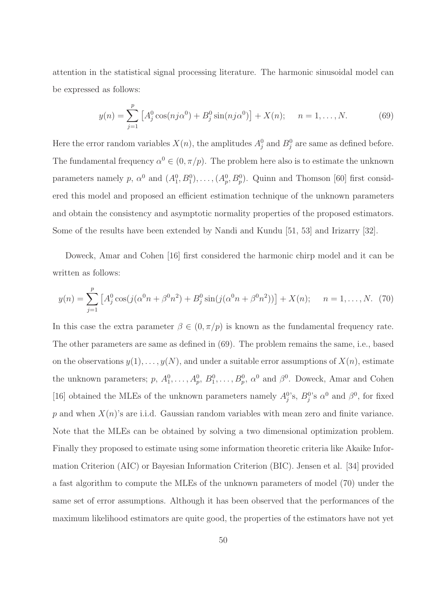attention in the statistical signal processing literature. The harmonic sinusoidal model can be expressed as follows:

$$
y(n) = \sum_{j=1}^{p} \left[ A_j^0 \cos(nj\alpha^0) + B_j^0 \sin(nj\alpha^0) \right] + X(n); \quad n = 1, ..., N. \tag{69}
$$

Here the error random variables  $X(n)$ , the amplitudes  $A_j^0$  and  $B_j^0$  are same as defined before. The fundamental frequency  $\alpha^0 \in (0, \pi/p)$ . The problem here also is to estimate the unknown parameters namely p,  $\alpha^0$  and  $(A_1^0, B_1^0), \ldots, (A_p^0, B_p^0)$ . Quinn and Thomson [60] first considered this model and proposed an efficient estimation technique of the unknown parameters and obtain the consistency and asymptotic normality properties of the proposed estimators. Some of the results have been extended by Nandi and Kundu [51, 53] and Irizarry [32].

Doweck, Amar and Cohen [16] first considered the harmonic chirp model and it can be written as follows:

$$
y(n) = \sum_{j=1}^{p} \left[ A_j^0 \cos(j(\alpha^0 n + \beta^0 n^2) + B_j^0 \sin(j(\alpha^0 n + \beta^0 n^2)) \right] + X(n); \quad n = 1, ..., N. \tag{70}
$$

In this case the extra parameter  $\beta \in (0, \pi/p)$  is known as the fundamental frequency rate. The other parameters are same as defined in (69). The problem remains the same, i.e., based on the observations  $y(1), \ldots, y(N)$ , and under a suitable error assumptions of  $X(n)$ , estimate the unknown parameters;  $p, A_1^0, \ldots, A_p^0, B_1^0, \ldots, B_p^0, \alpha^0$  and  $\beta^0$ . Doweck, Amar and Cohen [16] obtained the MLEs of the unknown parameters namely  $A_j^0$ 's,  $B_j^0$ 's  $\alpha^0$  and  $\beta^0$ , for fixed  $p$  and when  $X(n)$ 's are i.i.d. Gaussian random variables with mean zero and finite variance. Note that the MLEs can be obtained by solving a two dimensional optimization problem. Finally they proposed to estimate using some information theoretic criteria like Akaike Information Criterion (AIC) or Bayesian Information Criterion (BIC). Jensen et al. [34] provided a fast algorithm to compute the MLEs of the unknown parameters of model (70) under the same set of error assumptions. Although it has been observed that the performances of the maximum likelihood estimators are quite good, the properties of the estimators have not yet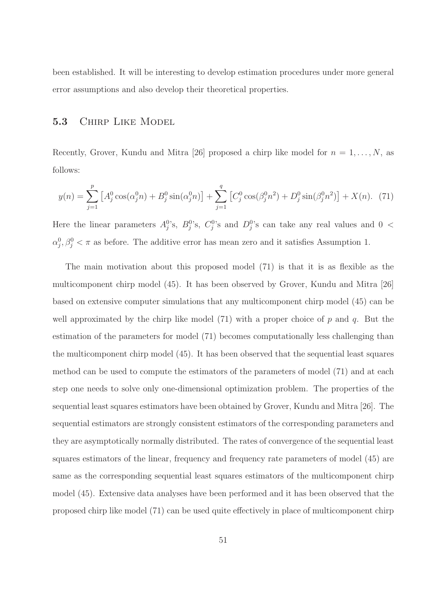been established. It will be interesting to develop estimation procedures under more general error assumptions and also develop their theoretical properties.

### 5.3 CHIRP LIKE MODEL

Recently, Grover, Kundu and Mitra [26] proposed a chirp like model for  $n = 1, \ldots, N$ , as follows:

$$
y(n) = \sum_{j=1}^{p} \left[ A_j^0 \cos(\alpha_j^0 n) + B_j^0 \sin(\alpha_j^0 n) \right] + \sum_{j=1}^{q} \left[ C_j^0 \cos(\beta_j^0 n^2) + D_j^0 \sin(\beta_j^0 n^2) \right] + X(n). \tag{71}
$$

Here the linear parameters  $A_j^0$ 's,  $B_j^0$ 's,  $C_j^0$ 's and  $D_j^0$ 's can take any real values and  $0 <$  $\alpha_j^0, \beta_j^0 < \pi$  as before. The additive error has mean zero and it satisfies Assumption 1.

The main motivation about this proposed model (71) is that it is as flexible as the multicomponent chirp model (45). It has been observed by Grover, Kundu and Mitra [26] based on extensive computer simulations that any multicomponent chirp model (45) can be well approximated by the chirp like model (71) with a proper choice of  $p$  and  $q$ . But the estimation of the parameters for model (71) becomes computationally less challenging than the multicomponent chirp model (45). It has been observed that the sequential least squares method can be used to compute the estimators of the parameters of model (71) and at each step one needs to solve only one-dimensional optimization problem. The properties of the sequential least squares estimators have been obtained by Grover, Kundu and Mitra [26]. The sequential estimators are strongly consistent estimators of the corresponding parameters and they are asymptotically normally distributed. The rates of convergence of the sequential least squares estimators of the linear, frequency and frequency rate parameters of model (45) are same as the corresponding sequential least squares estimators of the multicomponent chirp model (45). Extensive data analyses have been performed and it has been observed that the proposed chirp like model (71) can be used quite effectively in place of multicomponent chirp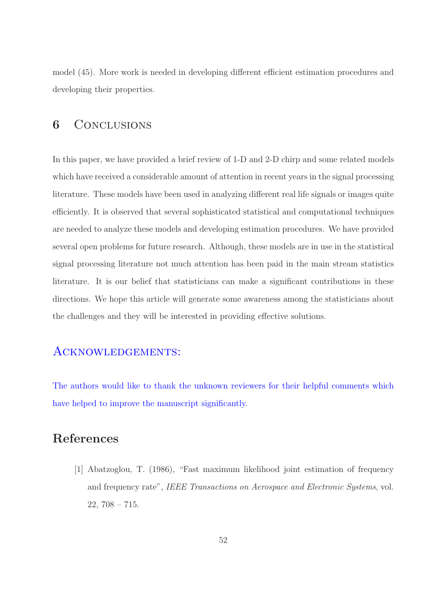model (45). More work is needed in developing different efficient estimation procedures and developing their properties.

# 6 CONCLUSIONS

In this paper, we have provided a brief review of 1-D and 2-D chirp and some related models which have received a considerable amount of attention in recent years in the signal processing literature. These models have been used in analyzing different real life signals or images quite efficiently. It is observed that several sophisticated statistical and computational techniques are needed to analyze these models and developing estimation procedures. We have provided several open problems for future research. Although, these models are in use in the statistical signal processing literature not much attention has been paid in the main stream statistics literature. It is our belief that statisticians can make a significant contributions in these directions. We hope this article will generate some awareness among the statisticians about the challenges and they will be interested in providing effective solutions.

# ACKNOWLEDGEMENTS:

The authors would like to thank the unknown reviewers for their helpful comments which have helped to improve the manuscript significantly.

# References

[1] Abatzoglou, T. (1986), "Fast maximum likelihood joint estimation of frequency and frequency rate", IEEE Transactions on Aerospace and Electronic Systems, vol.  $22, 708 - 715.$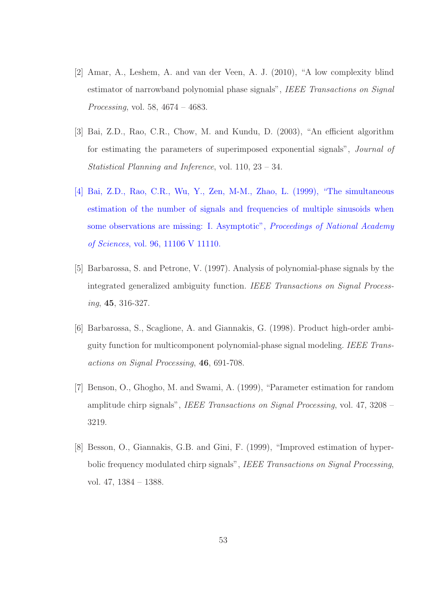- [2] Amar, A., Leshem, A. and van der Veen, A. J. (2010), "A low complexity blind estimator of narrowband polynomial phase signals", IEEE Transactions on Signal Processing, vol. 58, 4674 – 4683.
- [3] Bai, Z.D., Rao, C.R., Chow, M. and Kundu, D. (2003), "An efficient algorithm for estimating the parameters of superimposed exponential signals", Journal of Statistical Planning and Inference, vol. 110, 23 – 34.
- [4] Bai, Z.D., Rao, C.R., Wu, Y., Zen, M-M., Zhao, L. (1999), "The simultaneous estimation of the number of signals and frequencies of multiple sinusoids when some observations are missing: I. Asymptotic", Proceedings of National Academy of Sciences, vol. 96, 11106 V 11110.
- [5] Barbarossa, S. and Petrone, V. (1997). Analysis of polynomial-phase signals by the integrated generalized ambiguity function. IEEE Transactions on Signal Processing, 45, 316-327.
- [6] Barbarossa, S., Scaglione, A. and Giannakis, G. (1998). Product high-order ambiguity function for multicomponent polynomial-phase signal modeling. IEEE Transactions on Signal Processing, 46, 691-708.
- [7] Benson, O., Ghogho, M. and Swami, A. (1999), "Parameter estimation for random amplitude chirp signals", IEEE Transactions on Signal Processing, vol. 47, 3208 – 3219.
- [8] Besson, O., Giannakis, G.B. and Gini, F. (1999), "Improved estimation of hyperbolic frequency modulated chirp signals", IEEE Transactions on Signal Processing, vol. 47, 1384 – 1388.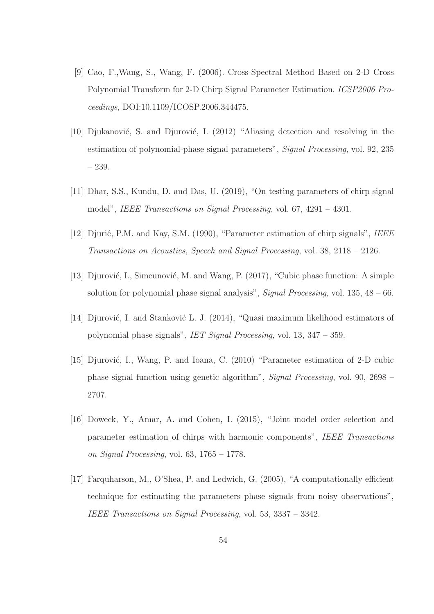- [9] Cao, F.,Wang, S., Wang, F. (2006). Cross-Spectral Method Based on 2-D Cross Polynomial Transform for 2-D Chirp Signal Parameter Estimation. ICSP2006 Proceedings, DOI:10.1109/ICOSP.2006.344475.
- [10] Djukanović, S. and Djurović, I. (2012) "Aliasing detection and resolving in the estimation of polynomial-phase signal parameters", Signal Processing, vol. 92, 235 – 239.
- [11] Dhar, S.S., Kundu, D. and Das, U. (2019), "On testing parameters of chirp signal model", IEEE Transactions on Signal Processing, vol. 67, 4291 – 4301.
- [12] Djurić, P.M. and Kay, S.M. (1990), "Parameter estimation of chirp signals", IEEE Transactions on Acoustics, Speech and Signal Processing, vol. 38, 2118 – 2126.
- [13] Djurović, I., Simeunović, M. and Wang, P. (2017), "Cubic phase function: A simple solution for polynomial phase signal analysis", *Signal Processing*, vol.  $135, 48 - 66$ .
- [14] Djurović, I. and Stanković L. J. (2014), "Quasi maximum likelihood estimators of polynomial phase signals", IET Signal Processing, vol. 13, 347 – 359.
- [15] Djurović, I., Wang, P. and Ioana, C. (2010) "Parameter estimation of 2-D cubic phase signal function using genetic algorithm", Signal Processing, vol. 90, 2698 – 2707.
- [16] Doweck, Y., Amar, A. and Cohen, I. (2015), "Joint model order selection and parameter estimation of chirps with harmonic components", IEEE Transactions on Signal Processing, vol.  $63, 1765 - 1778$ .
- [17] Farquharson, M., O'Shea, P. and Ledwich, G. (2005), "A computationally efficient technique for estimating the parameters phase signals from noisy observations", IEEE Transactions on Signal Processing, vol. 53, 3337 – 3342.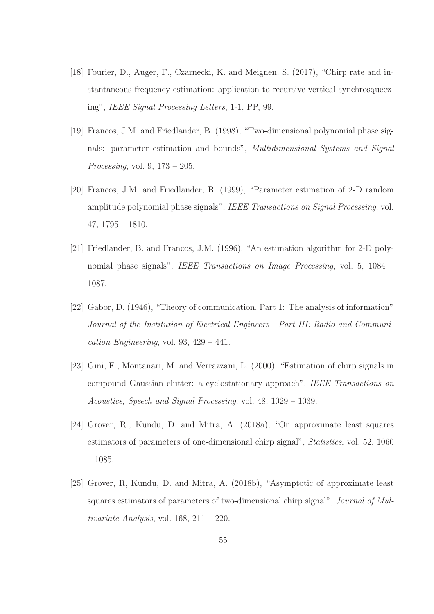- [18] Fourier, D., Auger, F., Czarnecki, K. and Meignen, S. (2017), "Chirp rate and instantaneous frequency estimation: application to recursive vertical synchrosqueezing", IEEE Signal Processing Letters, 1-1, PP, 99.
- [19] Francos, J.M. and Friedlander, B. (1998), "Two-dimensional polynomial phase signals: parameter estimation and bounds", Multidimensional Systems and Signal Processing, vol. 9, 173 – 205.
- [20] Francos, J.M. and Friedlander, B. (1999), "Parameter estimation of 2-D random amplitude polynomial phase signals", IEEE Transactions on Signal Processing, vol. 47, 1795 – 1810.
- [21] Friedlander, B. and Francos, J.M. (1996), "An estimation algorithm for 2-D polynomial phase signals", IEEE Transactions on Image Processing, vol. 5, 1084 – 1087.
- [22] Gabor, D. (1946), "Theory of communication. Part 1: The analysis of information" Journal of the Institution of Electrical Engineers - Part III: Radio and Communication Engineering, vol. 93,  $429 - 441$ .
- [23] Gini, F., Montanari, M. and Verrazzani, L. (2000), "Estimation of chirp signals in compound Gaussian clutter: a cyclostationary approach", IEEE Transactions on Acoustics, Speech and Signal Processing, vol. 48, 1029 – 1039.
- [24] Grover, R., Kundu, D. and Mitra, A. (2018a), "On approximate least squares estimators of parameters of one-dimensional chirp signal", Statistics, vol. 52, 1060 – 1085.
- [25] Grover, R, Kundu, D. and Mitra, A. (2018b), "Asymptotic of approximate least squares estimators of parameters of two-dimensional chirp signal", Journal of Multivariate Analysis, vol.  $168$ ,  $211 - 220$ .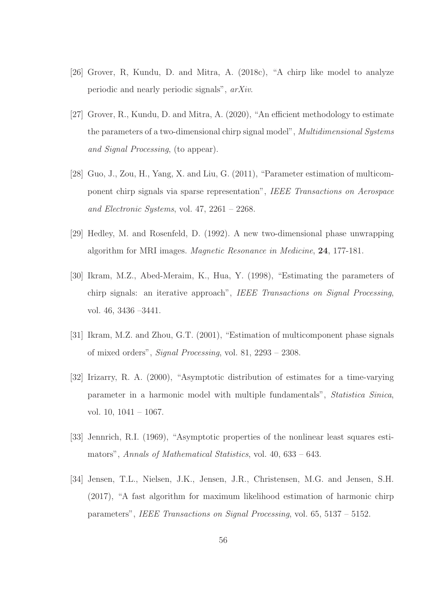- [26] Grover, R, Kundu, D. and Mitra, A. (2018c), "A chirp like model to analyze periodic and nearly periodic signals", arXiv.
- [27] Grover, R., Kundu, D. and Mitra, A. (2020), "An efficient methodology to estimate the parameters of a two-dimensional chirp signal model", Multidimensional Systems and Signal Processing, (to appear).
- [28] Guo, J., Zou, H., Yang, X. and Liu, G. (2011), "Parameter estimation of multicomponent chirp signals via sparse representation", IEEE Transactions on Aerospace and Electronic Systems, vol. 47, 2261 – 2268.
- [29] Hedley, M. and Rosenfeld, D. (1992). A new two-dimensional phase unwrapping algorithm for MRI images. Magnetic Resonance in Medicine, 24, 177-181.
- [30] Ikram, M.Z., Abed-Meraim, K., Hua, Y. (1998), "Estimating the parameters of chirp signals: an iterative approach", IEEE Transactions on Signal Processing, vol. 46, 3436 –3441.
- [31] Ikram, M.Z. and Zhou, G.T. (2001), "Estimation of multicomponent phase signals of mixed orders", Signal Processing, vol. 81, 2293 – 2308.
- [32] Irizarry, R. A. (2000), "Asymptotic distribution of estimates for a time-varying parameter in a harmonic model with multiple fundamentals", Statistica Sinica, vol. 10, 1041 – 1067.
- [33] Jennrich, R.I. (1969), "Asymptotic properties of the nonlinear least squares estimators", Annals of Mathematical Statistics, vol. 40, 633 – 643.
- [34] Jensen, T.L., Nielsen, J.K., Jensen, J.R., Christensen, M.G. and Jensen, S.H. (2017), "A fast algorithm for maximum likelihood estimation of harmonic chirp parameters", IEEE Transactions on Signal Processing, vol. 65, 5137 – 5152.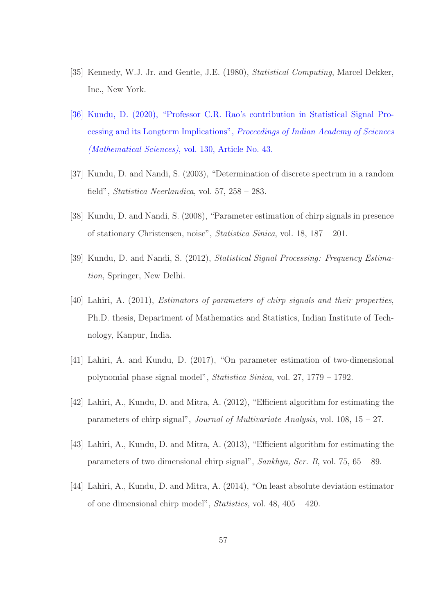- [35] Kennedy, W.J. Jr. and Gentle, J.E. (1980), Statistical Computing, Marcel Dekker, Inc., New York.
- [36] Kundu, D. (2020), "Professor C.R. Rao's contribution in Statistical Signal Processing and its Longterm Implications", Proceedings of Indian Academy of Sciences (Mathematical Sciences), vol. 130, Article No. 43.
- [37] Kundu, D. and Nandi, S. (2003), "Determination of discrete spectrum in a random field", Statistica Neerlandica, vol. 57, 258 – 283.
- [38] Kundu, D. and Nandi, S. (2008), "Parameter estimation of chirp signals in presence of stationary Christensen, noise", Statistica Sinica, vol. 18, 187 – 201.
- [39] Kundu, D. and Nandi, S. (2012), Statistical Signal Processing: Frequency Estimation, Springer, New Delhi.
- [40] Lahiri, A. (2011), Estimators of parameters of chirp signals and their properties, Ph.D. thesis, Department of Mathematics and Statistics, Indian Institute of Technology, Kanpur, India.
- [41] Lahiri, A. and Kundu, D. (2017), "On parameter estimation of two-dimensional polynomial phase signal model", Statistica Sinica, vol. 27, 1779 – 1792.
- [42] Lahiri, A., Kundu, D. and Mitra, A. (2012), "Efficient algorithm for estimating the parameters of chirp signal", Journal of Multivariate Analysis, vol. 108, 15 – 27.
- [43] Lahiri, A., Kundu, D. and Mitra, A. (2013), "Efficient algorithm for estimating the parameters of two dimensional chirp signal", Sankhya, Ser. B, vol. 75, 65 – 89.
- [44] Lahiri, A., Kundu, D. and Mitra, A. (2014), "On least absolute deviation estimator of one dimensional chirp model", Statistics, vol. 48, 405 – 420.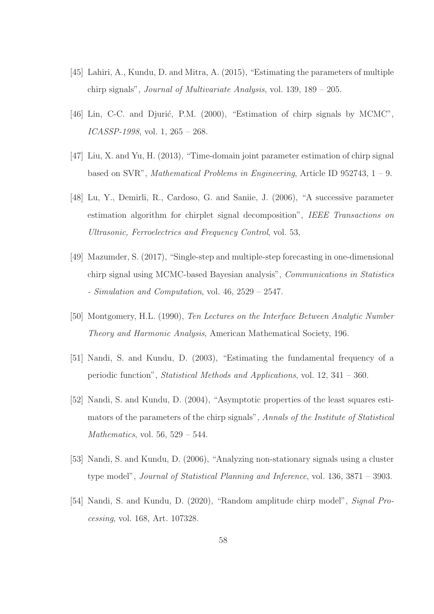- [45] Lahiri, A., Kundu, D. and Mitra, A. (2015), "Estimating the parameters of multiple chirp signals", Journal of Multivariate Analysis, vol. 139, 189 – 205.
- [46] Lin, C-C. and Djurić, P.M. (2000), "Estimation of chirp signals by MCMC", ICASSP-1998, vol. 1, 265 – 268.
- [47] Liu, X. and Yu, H. (2013), "Time-domain joint parameter estimation of chirp signal based on SVR", *Mathematical Problems in Engineering*, Article ID 952743,  $1 - 9$ .
- [48] Lu, Y., Demirli, R., Cardoso, G. and Saniie, J. (2006), "A successive parameter estimation algorithm for chirplet signal decomposition", IEEE Transactions on Ultrasonic, Ferroelectrics and Frequency Control, vol. 53,
- [49] Mazumder, S. (2017), "Single-step and multiple-step forecasting in one-dimensional chirp signal using MCMC-based Bayesian analysis", Communications in Statistics - Simulation and Computation, vol. 46, 2529 – 2547.
- [50] Montgomery, H.L. (1990), Ten Lectures on the Interface Between Analytic Number Theory and Harmonic Analysis, American Mathematical Society, 196.
- [51] Nandi, S. and Kundu, D. (2003), "Estimating the fundamental frequency of a periodic function", Statistical Methods and Applications, vol. 12, 341 – 360.
- [52] Nandi, S. and Kundu, D. (2004), "Asymptotic properties of the least squares estimators of the parameters of the chirp signals", Annals of the Institute of Statistical Mathematics, vol. 56,  $529 - 544$ .
- [53] Nandi, S. and Kundu, D. (2006), "Analyzing non-stationary signals using a cluster type model", Journal of Statistical Planning and Inference, vol. 136, 3871 – 3903.
- [54] Nandi, S. and Kundu, D. (2020), "Random amplitude chirp model", Signal Processing, vol. 168, Art. 107328.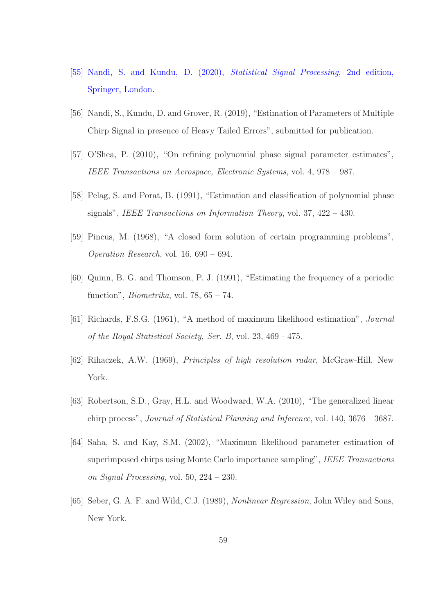- [55] Nandi, S. and Kundu, D. (2020), Statistical Signal Processing, 2nd edition, Springer, London.
- [56] Nandi, S., Kundu, D. and Grover, R. (2019), "Estimation of Parameters of Multiple Chirp Signal in presence of Heavy Tailed Errors", submitted for publication.
- [57] O'Shea, P. (2010), "On refining polynomial phase signal parameter estimates", IEEE Transactions on Aerospace, Electronic Systems, vol. 4, 978 – 987.
- [58] Pelag, S. and Porat, B. (1991), "Estimation and classification of polynomial phase signals", IEEE Transactions on Information Theory, vol. 37, 422 – 430.
- [59] Pincus, M. (1968), "A closed form solution of certain programming problems", Operation Research, vol. 16, 690 – 694.
- [60] Quinn, B. G. and Thomson, P. J. (1991), "Estimating the frequency of a periodic function", *Biometrika*, vol. 78,  $65 - 74$ .
- [61] Richards, F.S.G. (1961), "A method of maximum likelihood estimation", Journal of the Royal Statistical Society, Ser. B, vol. 23, 469 - 475.
- [62] Rihaczek, A.W. (1969), Principles of high resolution radar, McGraw-Hill, New York.
- [63] Robertson, S.D., Gray, H.L. and Woodward, W.A. (2010), "The generalized linear chirp process", Journal of Statistical Planning and Inference, vol. 140, 3676 – 3687.
- [64] Saha, S. and Kay, S.M. (2002), "Maximum likelihood parameter estimation of superimposed chirps using Monte Carlo importance sampling", IEEE Transactions on Signal Processing, vol. 50, 224 – 230.
- [65] Seber, G. A. F. and Wild, C.J. (1989), Nonlinear Regression, John Wiley and Sons, New York.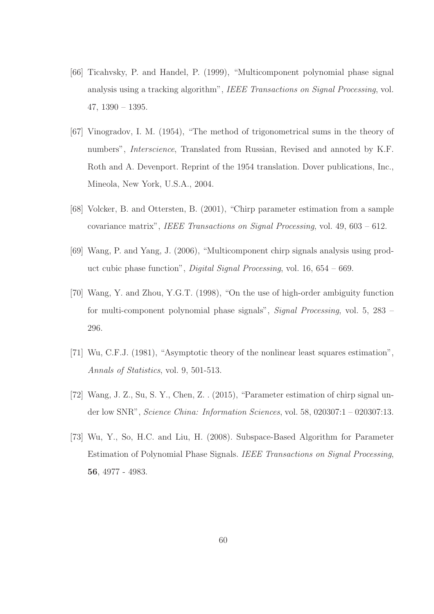- [66] Ticahvsky, P. and Handel, P. (1999), "Multicomponent polynomial phase signal analysis using a tracking algorithm", IEEE Transactions on Signal Processing, vol. 47, 1390 – 1395.
- [67] Vinogradov, I. M. (1954), "The method of trigonometrical sums in the theory of numbers", Interscience, Translated from Russian, Revised and annoted by K.F. Roth and A. Devenport. Reprint of the 1954 translation. Dover publications, Inc., Mineola, New York, U.S.A., 2004.
- [68] Volcker, B. and Ottersten, B. (2001), "Chirp parameter estimation from a sample covariance matrix", IEEE Transactions on Signal Processing, vol. 49, 603 – 612.
- [69] Wang, P. and Yang, J. (2006), "Multicomponent chirp signals analysis using product cubic phase function", Digital Signal Processing, vol. 16, 654 – 669.
- [70] Wang, Y. and Zhou, Y.G.T. (1998), "On the use of high-order ambiguity function for multi-component polynomial phase signals", Signal Processing, vol. 5, 283 – 296.
- [71] Wu, C.F.J. (1981), "Asymptotic theory of the nonlinear least squares estimation", Annals of Statistics, vol. 9, 501-513.
- [72] Wang, J. Z., Su, S. Y., Chen, Z. . (2015), "Parameter estimation of chirp signal under low SNR", Science China: Information Sciences, vol. 58, 020307:1 – 020307:13.
- [73] Wu, Y., So, H.C. and Liu, H. (2008). Subspace-Based Algorithm for Parameter Estimation of Polynomial Phase Signals. IEEE Transactions on Signal Processing, 56, 4977 - 4983.